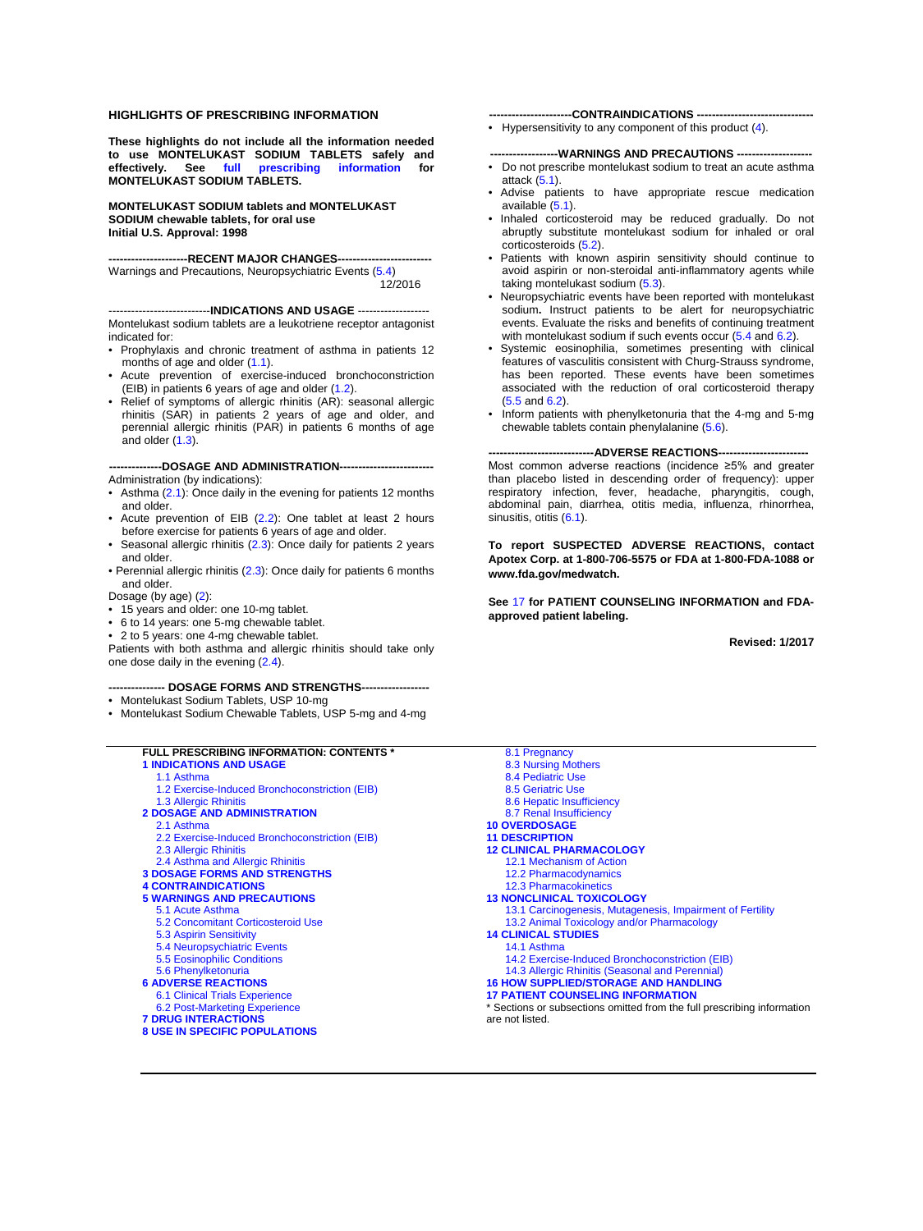#### **HIGHLIGHTS OF PRESCRIBING INFORMATION**

**These highlights do not include all the information needed to use MONTELUKAST SODIUM TABLETS safely and effectively. See [full prescribing information](#page-1-0) for MONTELUKAST SODIUM TABLETS.**

**MONTELUKAST SODIUM tablets and MONTELUKAST SODIUM chewable tablets, for oral use Initial U.S. Approval: 1998**

**---------------------RECENT MAJOR CHANGES-------------------------**

Warnings and Precautions, Neuropsychiatric Events [\(5.4\)](#page-3-0) 12/2016

#### ---------------------------**INDICATIONS AND USAGE** -------------------

Montelukast sodium tablets are a leukotriene receptor antagonist indicated for:

- Prophylaxis and chronic treatment of asthma in patients 12 months of age and older [\(1.1\)](#page-1-1).
- Acute prevention of exercise-induced bronchoconstriction (EIB) in patients 6 years of age and older [\(1.2\).](#page-1-2)
- Relief of symptoms of allergic rhinitis (AR): seasonal allergic rhinitis (SAR) in patients 2 years of age and older, and perennial allergic rhinitis (PAR) in patients 6 months of age and older [\(1.3\).](#page-1-3)

--DOSAGE AND ADMINISTRATION--------------------------Administration (by indications):

- Asthma [\(2.1\)](#page-1-4): Once daily in the evening for patients 12 months and older.
- Acute prevention of EIB [\(2.2\)](#page-1-5): One tablet at least 2 hours before exercise for patients 6 years of age and older.
- Seasonal allergic rhinitis  $(2.3)$ : Once daily for patients 2 years and older.
- Perennial allergic rhinitis [\(2.3\):](#page-1-6) Once daily for patients 6 months and older.
- Dosage (by age) [\(2\)](#page-1-7):
- 15 years and older: one 10-mg tablet.
- 6 to 14 years: one 5-mg chewable tablet.
- 2 to 5 years: one 4-mg chewable tablet.

Patients with both asthma and allergic rhinitis should take only one dose daily in the evening [\(2.4\)](#page-2-0).

#### **--------------- DOSAGE FORMS AND STRENGTHS------------------**

- Montelukast Sodium Tablets, USP 10-mg
- Montelukast Sodium Chewable Tablets, USP 5-mg and 4-mg

#### **FULL PRESCRIBING INFORMATION: CONTENTS \* [1 INDICATIONS AND USAGE](#page-1-8)**  [1.1 Asthma](#page-1-1)

[1.2 Exercise-Induced Bronchoconstriction](#page-1-2) (EIB) [1.3 Allergic Rhinitis](#page-1-3) 

#### **[2 DOSAGE AND ADMINISTRATION](#page-1-7)**

- [2.1 Asthma](#page-1-4)
- [2.2 Exercise-Induced Bronchoconstriction \(EIB\)](#page-1-5) [2.3 Allergic Rhinitis](#page-1-6)
- [2.4 Asthma and Allergic Rhinitis](#page-2-0)
- **[3 DOSAGE FORMS AND STRENGTHS](#page-2-4)**
- 
- **[4 CONTRAINDICATIONS](#page-2-1)  [5 WARNINGS AND PRECAUTIONS](#page-2-5)**
- [5.1 Acute Asthma](#page-2-2) 
	- [5.2 Concomitant Corticosteroid Use](#page-2-3)
	- [5.3 Aspirin Sensitivity](#page-3-1)
	- [5.4 Neuropsychiatric Events](#page-3-0)
	- [5.5 Eosinophilic Conditions](#page-3-2)
- [5.6 Phenylketonuria](#page-3-3)
- **[6 ADVERSE REACTIONS](#page-3-5)**
- [6.1 Clinical Trials Experience](#page-3-4)
- [6.2 Post-Marketing Experience](#page-6-0)
- **[7 DRUG INTERACTIONS](#page-7-0)**
- **[8 USE IN SPECIFIC POPULATIONS](#page-7-1)**

**----------------------CONTRAINDICATIONS -------------------------------**

• Hypersensitivity to any component of this product  $(4)$ .

#### **------------------WARNINGS AND PRECAUTIONS --------------------**

- Do not prescribe montelukast sodium to treat an acute asthma attack [\(5.1\)](#page-2-2).
- Advise patients to have appropriate rescue medication available [\(5.1\)](#page-2-2).
- Inhaled corticosteroid may be reduced gradually. Do not abruptly substitute montelukast sodium for inhaled or oral corticosteroids [\(5.2\).](#page-2-3)
- Patients with known aspirin sensitivity should continue to avoid aspirin or non-steroidal anti-inflammatory agents while taking montelukast sodium [\(5.3\)](#page-3-1).
- Neuropsychiatric events have been reported with montelukast sodium**.** Instruct patients to be alert for neuropsychiatric events. Evaluate the risks and benefits of continuing treatment with montelukast sodium if such events occur  $(5.4 \text{ and } 6.2)$  $(5.4 \text{ and } 6.2)$ .
- Systemic eosinophilia, sometimes presenting with clinical features of vasculitis consistent with Churg-Strauss syndrome, has been reported. These events have been sometimes associated with the reduction of oral corticosteroid therapy [\(5.5](#page-3-2) an[d 6.2\)](#page-6-0).
- Inform patients with phenylketonuria that the 4-mg and 5-mg chewable tablets contain phenylalanine [\(5.6\)](#page-3-3).

--ADVERSE REACTIONS---Most common adverse reactions (incidence ≥5% and greater than placebo listed in descending order of frequency): upper respiratory infection, fever, headache, pharyngitis, cough, abdominal pain, diarrhea, otitis media, influenza, rhinorrhea, sinusitis, otitis  $(6.1)$ .

**To report SUSPECTED ADVERSE REACTIONS, contact Apotex Corp. at 1-800-706-5575 or FDA at 1-800-FDA-1088 or www.fda.gov/medwatch.** 

**See** [17](#page-23-0) **for PATIENT COUNSELING INFORMATION and FDAapproved patient labeling.**

**Revised: 1/2017**

[8.1 Pregnancy](#page-7-2)  [8.3 Nursing Mothers](#page-8-0)  [8.4 Pediatric Use](#page-8-1)  [8.5 Geriatric Use](#page-9-0)  [8.6 Hepatic Insufficiency](#page-9-1)  [8.7 Renal Insufficiency](#page-9-2)  **[10 OVERDOSAGE](#page-9-3)  [11 DESCRIPTION](#page-10-0)  [12 CLINICAL PHARMACOLOGY](#page-10-1)**  [12.1 Mechanism of Action](#page-10-2)  [12.2 Pharmacodynamics](#page-11-0)  [12.3 Pharmacokinetics](#page-11-1)  **[13 NONCLINICAL TOXICOLOGY](#page-14-0)**  [13.1 Carcinogenesis, Mutagenesis, Impairment of Fertility](#page-14-1)  [13.2 Animal Toxicology and/or Pharmacology](#page-15-0)  **[14 CLINICAL STUDIES](#page-15-1)**  [14.1 Asthma](#page-15-2)  [14.2 Exercise-Induced Bronchoconstriction \(EIB\)](#page-18-0)  [14.3 Allergic Rhinitis \(Seasonal and Perennial\)](#page-20-0)  **[16 HOW SUPPLIED/STORAGE AND HANDLING](#page-22-0)  [17 PATIENT COUNSELING INFORMATION](#page-23-0)**  Sections or subsections omitted from the full prescribing information are not listed.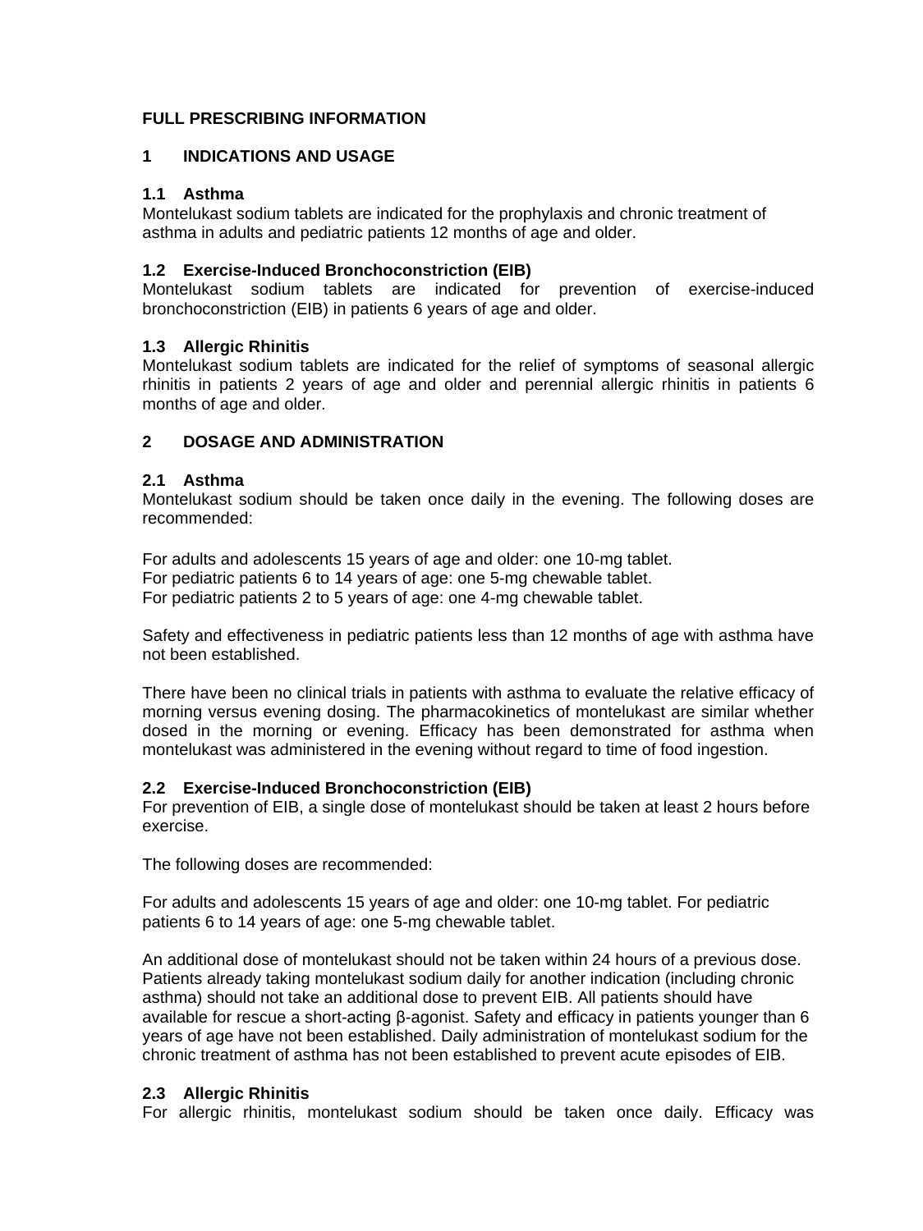# <span id="page-1-0"></span>**FULL PRESCRIBING INFORMATION**

## <span id="page-1-8"></span>**1 INDICATIONS AND USAGE**

## <span id="page-1-1"></span>**1.1 Asthma**

Montelukast sodium tablets are indicated for the prophylaxis and chronic treatment of asthma in adults and pediatric patients 12 months of age and older.

## <span id="page-1-2"></span>**1.2 Exercise-Induced Bronchoconstriction (EIB)**

Montelukast sodium tablets are indicated for prevention of exercise-induced bronchoconstriction (EIB) in patients 6 years of age and older.

## <span id="page-1-3"></span>**1.3 Allergic Rhinitis**

Montelukast sodium tablets are indicated for the relief of symptoms of seasonal allergic rhinitis in patients 2 years of age and older and perennial allergic rhinitis in patients 6 months of age and older.

## <span id="page-1-7"></span>**2 DOSAGE AND ADMINISTRATION**

## <span id="page-1-4"></span>**2.1 Asthma**

Montelukast sodium should be taken once daily in the evening. The following doses are recommended:

For adults and adolescents 15 years of age and older: one 10-mg tablet. For pediatric patients 6 to 14 years of age: one 5-mg chewable tablet. For pediatric patients 2 to 5 years of age: one 4-mg chewable tablet.

Safety and effectiveness in pediatric patients less than 12 months of age with asthma have not been established.

There have been no clinical trials in patients with asthma to evaluate the relative efficacy of morning versus evening dosing. The pharmacokinetics of montelukast are similar whether dosed in the morning or evening. Efficacy has been demonstrated for asthma when montelukast was administered in the evening without regard to time of food ingestion.

## <span id="page-1-5"></span>**2.2 Exercise-Induced Bronchoconstriction (EIB)**

For prevention of EIB, a single dose of montelukast should be taken at least 2 hours before exercise.

The following doses are recommended:

For adults and adolescents 15 years of age and older: one 10-mg tablet. For pediatric patients 6 to 14 years of age: one 5-mg chewable tablet.

An additional dose of montelukast should not be taken within 24 hours of a previous dose. Patients already taking montelukast sodium daily for another indication (including chronic asthma) should not take an additional dose to prevent EIB. All patients should have available for rescue a short-acting β-agonist. Safety and efficacy in patients younger than 6 years of age have not been established. Daily administration of montelukast sodium for the chronic treatment of asthma has not been established to prevent acute episodes of EIB.

## <span id="page-1-6"></span>**2.3 Allergic Rhinitis**

For allergic rhinitis, montelukast sodium should be taken once daily. Efficacy was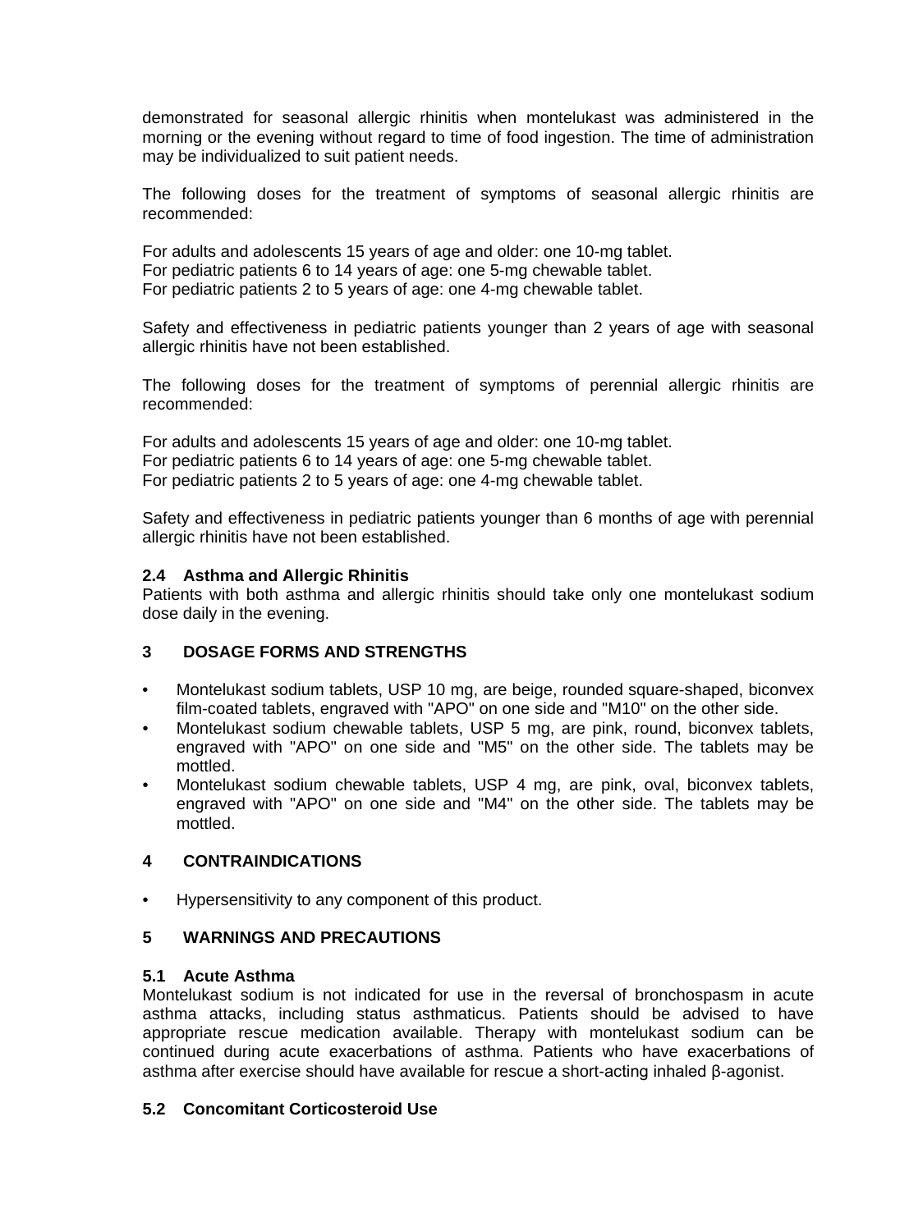demonstrated for seasonal allergic rhinitis when montelukast was administered in the morning or the evening without regard to time of food ingestion. The time of administration may be individualized to suit patient needs.

The following doses for the treatment of symptoms of seasonal allergic rhinitis are recommended:

For adults and adolescents 15 years of age and older: one 10-mg tablet. For pediatric patients 6 to 14 years of age: one 5-mg chewable tablet. For pediatric patients 2 to 5 years of age: one 4-mg chewable tablet.

Safety and effectiveness in pediatric patients younger than 2 years of age with seasonal allergic rhinitis have not been established.

The following doses for the treatment of symptoms of perennial allergic rhinitis are recommended:

For adults and adolescents 15 years of age and older: one 10-mg tablet. For pediatric patients 6 to 14 years of age: one 5-mg chewable tablet. For pediatric patients 2 to 5 years of age: one 4-mg chewable tablet.

Safety and effectiveness in pediatric patients younger than 6 months of age with perennial allergic rhinitis have not been established.

## <span id="page-2-0"></span>**2.4 Asthma and Allergic Rhinitis**

Patients with both asthma and allergic rhinitis should take only one montelukast sodium dose daily in the evening.

## <span id="page-2-4"></span>**3 DOSAGE FORMS AND STRENGTHS**

- Montelukast sodium tablets, USP 10 mg, are beige, rounded square-shaped, biconvex film-coated tablets, engraved with "APO" on one side and "M10" on the other side.
- Montelukast sodium chewable tablets, USP 5 mg, are pink, round, biconvex tablets, engraved with "APO" on one side and "M5" on the other side. The tablets may be mottled.
- Montelukast sodium chewable tablets, USP 4 mg, are pink, oval, biconvex tablets, engraved with "APO" on one side and "M4" on the other side. The tablets may be mottled.

## <span id="page-2-1"></span>**4 CONTRAINDICATIONS**

• Hypersensitivity to any component of this product.

## <span id="page-2-5"></span>**5 WARNINGS AND PRECAUTIONS**

#### <span id="page-2-2"></span>**5.1 Acute Asthma**

Montelukast sodium is not indicated for use in the reversal of bronchospasm in acute asthma attacks, including status asthmaticus. Patients should be advised to have appropriate rescue medication available. Therapy with montelukast sodium can be continued during acute exacerbations of asthma. Patients who have exacerbations of asthma after exercise should have available for rescue a short-acting inhaled β-agonist.

#### <span id="page-2-3"></span>**5.2 Concomitant Corticosteroid Use**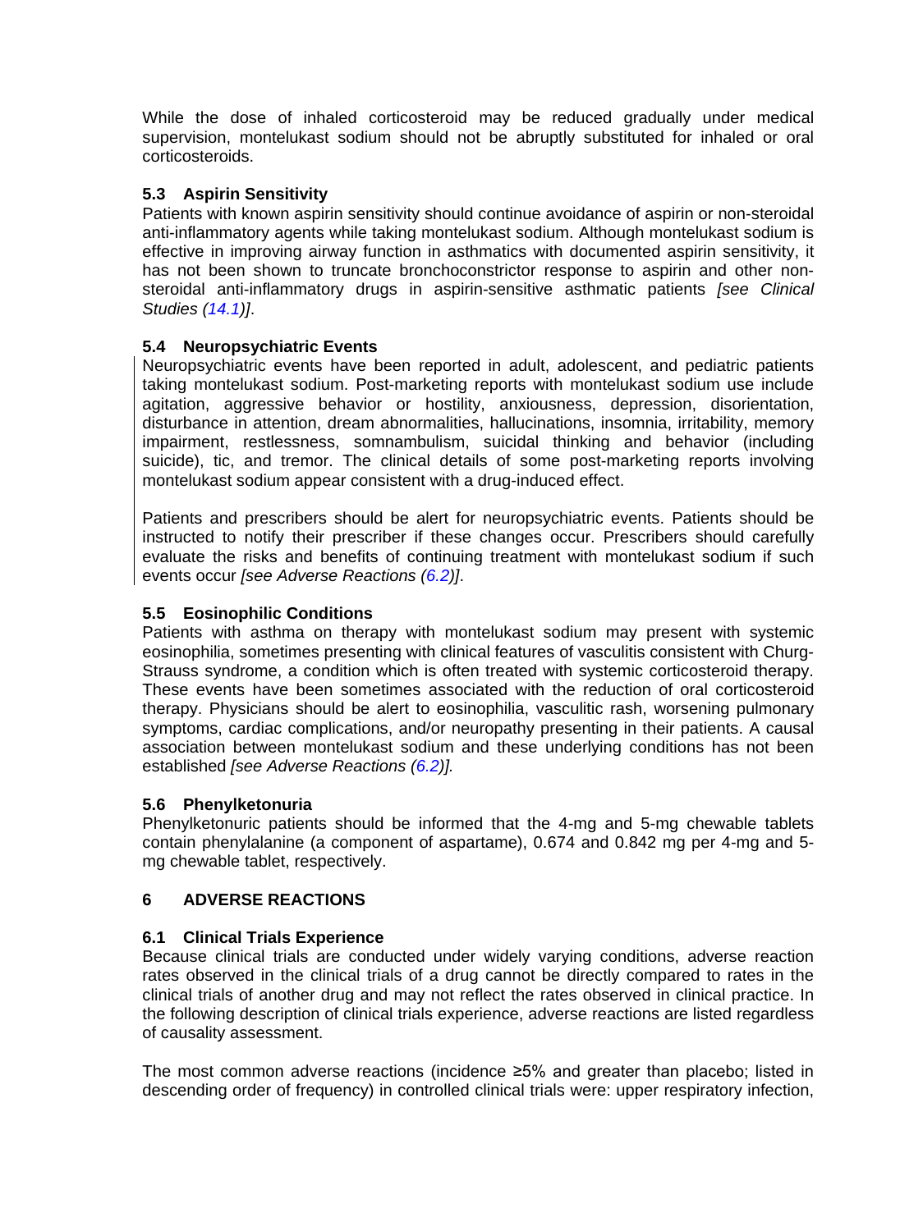While the dose of inhaled corticosteroid may be reduced gradually under medical supervision, montelukast sodium should not be abruptly substituted for inhaled or oral corticosteroids.

## <span id="page-3-1"></span>**5.3 Aspirin Sensitivity**

Patients with known aspirin sensitivity should continue avoidance of aspirin or non-steroidal anti-inflammatory agents while taking montelukast sodium. Although montelukast sodium is effective in improving airway function in asthmatics with documented aspirin sensitivity, it has not been shown to truncate bronchoconstrictor response to aspirin and other nonsteroidal anti-inflammatory drugs in aspirin-sensitive asthmatic patients *[see Clinical Studies [\(14.1\)](#page-15-2)]*.

## <span id="page-3-0"></span>**5.4 Neuropsychiatric Events**

Neuropsychiatric events have been reported in adult, adolescent, and pediatric patients taking montelukast sodium. Post-marketing reports with montelukast sodium use include agitation, aggressive behavior or hostility, anxiousness, depression, disorientation, disturbance in attention, dream abnormalities, hallucinations, insomnia, irritability, memory impairment, restlessness, somnambulism, suicidal thinking and behavior (including suicide), tic, and tremor. The clinical details of some post-marketing reports involving montelukast sodium appear consistent with a drug-induced effect.

Patients and prescribers should be alert for neuropsychiatric events. Patients should be instructed to notify their prescriber if these changes occur. Prescribers should carefully evaluate the risks and benefits of continuing treatment with montelukast sodium if such events occur *[see Adverse Reactions [\(6.2\)](#page-6-0)]*.

## <span id="page-3-2"></span>**5.5 Eosinophilic Conditions**

Patients with asthma on therapy with montelukast sodium may present with systemic eosinophilia, sometimes presenting with clinical features of vasculitis consistent with Churg-Strauss syndrome, a condition which is often treated with systemic corticosteroid therapy. These events have been sometimes associated with the reduction of oral corticosteroid therapy. Physicians should be alert to eosinophilia, vasculitic rash, worsening pulmonary symptoms, cardiac complications, and/or neuropathy presenting in their patients. A causal association between montelukast sodium and these underlying conditions has not been established *[see Adverse Reactions [\(6.2\)](#page-6-0)].*

## <span id="page-3-3"></span>**5.6 Phenylketonuria**

Phenylketonuric patients should be informed that the 4-mg and 5-mg chewable tablets contain phenylalanine (a component of aspartame), 0.674 and 0.842 mg per 4-mg and 5 mg chewable tablet, respectively.

## <span id="page-3-5"></span>**6 ADVERSE REACTIONS**

## <span id="page-3-4"></span>**6.1 Clinical Trials Experience**

Because clinical trials are conducted under widely varying conditions, adverse reaction rates observed in the clinical trials of a drug cannot be directly compared to rates in the clinical trials of another drug and may not reflect the rates observed in clinical practice. In the following description of clinical trials experience, adverse reactions are listed regardless of causality assessment.

The most common adverse reactions (incidence ≥5% and greater than placebo; listed in descending order of frequency) in controlled clinical trials were: upper respiratory infection,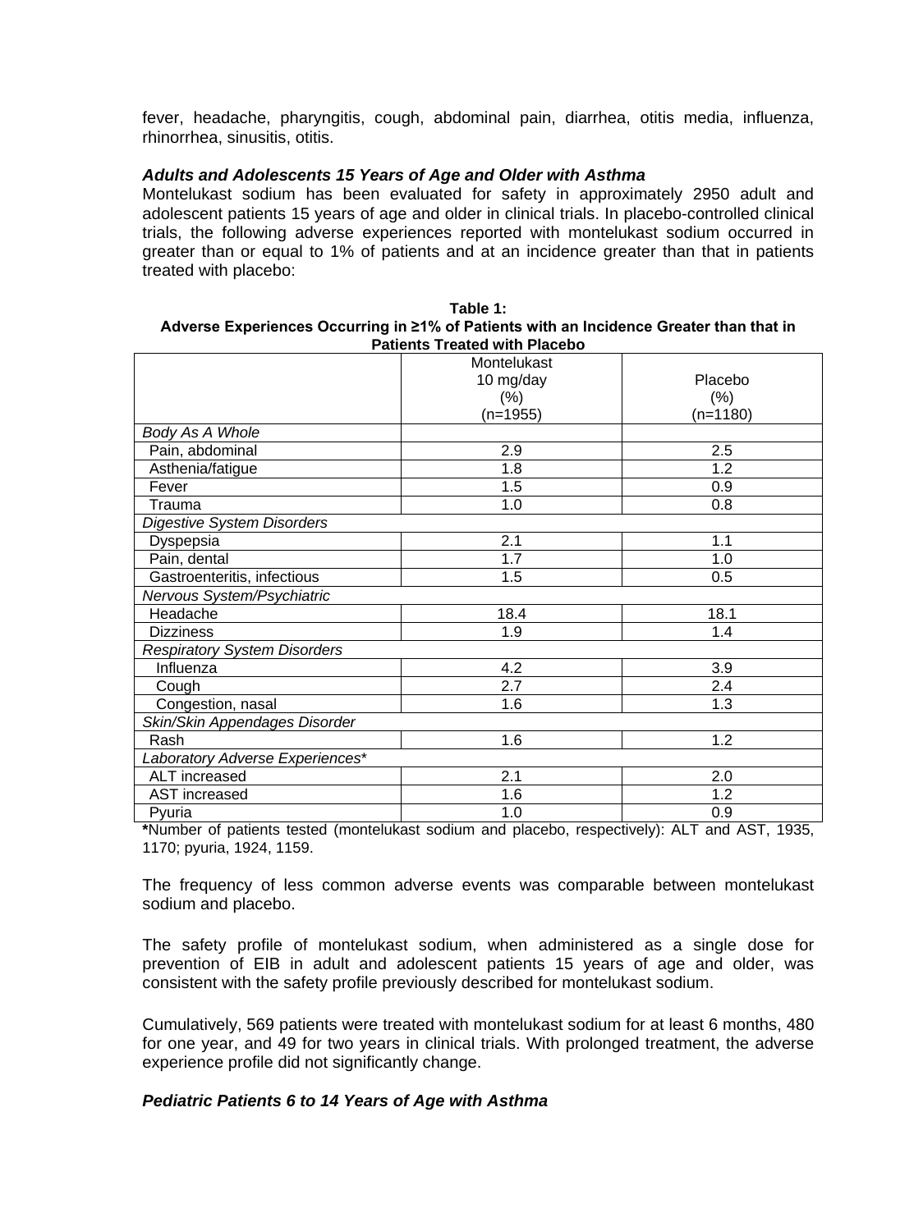fever, headache, pharyngitis, cough, abdominal pain, diarrhea, otitis media, influenza, rhinorrhea, sinusitis, otitis.

#### *Adults and Adolescents 15 Years of Age and Older with Asthma*

Montelukast sodium has been evaluated for safety in approximately 2950 adult and adolescent patients 15 years of age and older in clinical trials. In placebo-controlled clinical trials, the following adverse experiences reported with montelukast sodium occurred in greater than or equal to 1% of patients and at an incidence greater than that in patients treated with placebo:

| Table 1:                                                                                |
|-----------------------------------------------------------------------------------------|
| Adverse Experiences Occurring in ≥1% of Patients with an Incidence Greater than that in |
| <b>Patients Treated with Placebo</b>                                                    |

and a string

|                                     | Montelukast |            |
|-------------------------------------|-------------|------------|
|                                     | 10 mg/day   | Placebo    |
|                                     | (% )        | $(\% )$    |
|                                     | $(n=1955)$  | $(n=1180)$ |
| Body As A Whole                     |             |            |
| Pain, abdominal                     | 2.9         | 2.5        |
| Asthenia/fatigue                    | 1.8         | 1.2        |
| Fever                               | 1.5         | 0.9        |
| Trauma                              | 1.0         | 0.8        |
| <b>Digestive System Disorders</b>   |             |            |
| Dyspepsia                           | 2.1         | 1.1        |
| Pain, dental                        | 1.7         | 1.0        |
| Gastroenteritis, infectious         | 1.5         | 0.5        |
| Nervous System/Psychiatric          |             |            |
| Headache                            | 18.4        | 18.1       |
| <b>Dizziness</b>                    | 1.9         | 1.4        |
| <b>Respiratory System Disorders</b> |             |            |
| Influenza                           | 4.2         | 3.9        |
| Cough                               | 2.7         | 2.4        |
| Congestion, nasal                   | 1.6         | 1.3        |
| Skin/Skin Appendages Disorder       |             |            |
| Rash                                | 1.6         | 1.2        |
| Laboratory Adverse Experiences*     |             |            |
| ALT increased                       | 2.1         | 2.0        |
| AST increased                       | 1.6         | 1.2        |
| Pyuria                              | 1.0         | 0.9        |

**\***Number of patients tested (montelukast sodium and placebo, respectively): ALT and AST, 1935, 1170; pyuria, 1924, 1159.

The frequency of less common adverse events was comparable between montelukast sodium and placebo.

The safety profile of montelukast sodium, when administered as a single dose for prevention of EIB in adult and adolescent patients 15 years of age and older, was consistent with the safety profile previously described for montelukast sodium.

Cumulatively, 569 patients were treated with montelukast sodium for at least 6 months, 480 for one year, and 49 for two years in clinical trials. With prolonged treatment, the adverse experience profile did not significantly change.

## *Pediatric Patients 6 to 14 Years of Age with Asthma*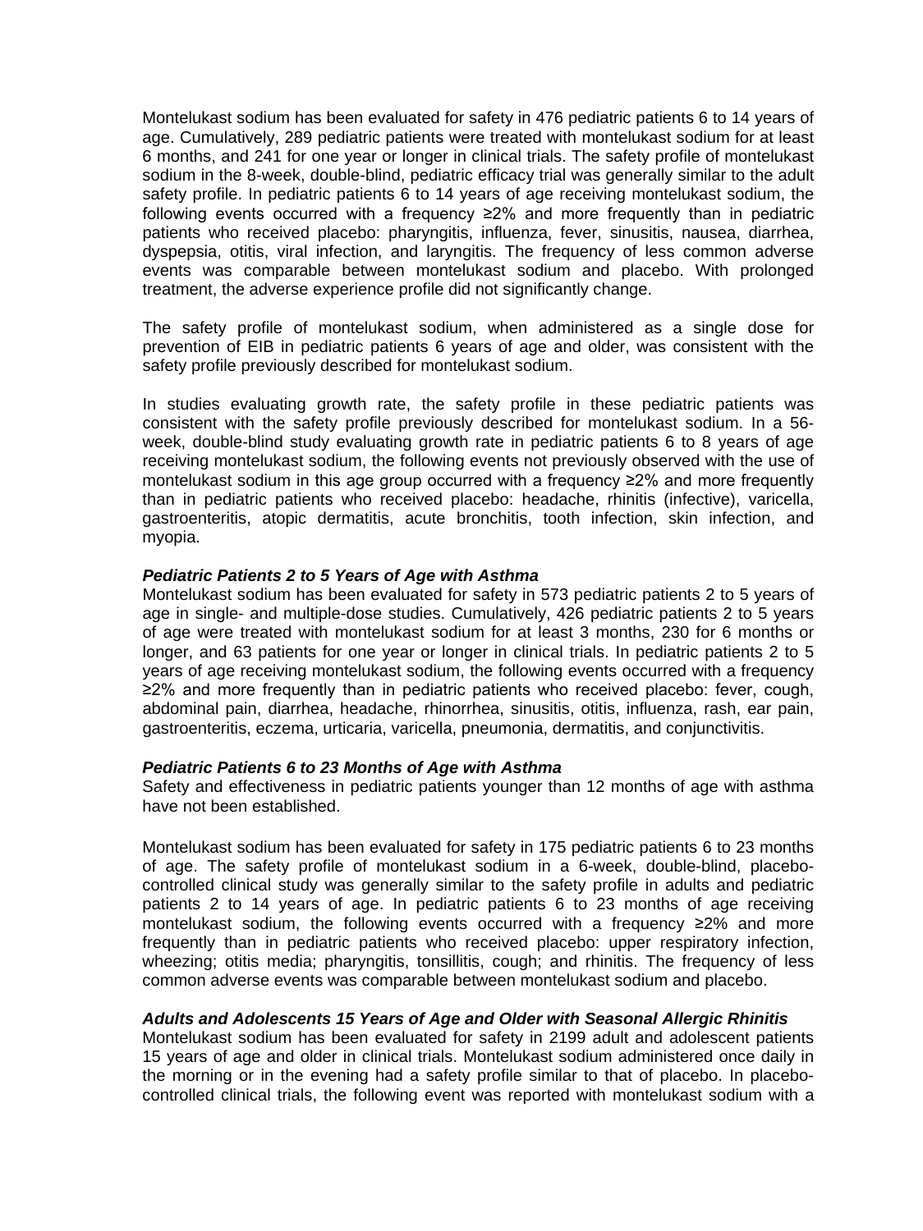Montelukast sodium has been evaluated for safety in 476 pediatric patients 6 to 14 years of age. Cumulatively, 289 pediatric patients were treated with montelukast sodium for at least 6 months, and 241 for one year or longer in clinical trials. The safety profile of montelukast sodium in the 8-week, double-blind, pediatric efficacy trial was generally similar to the adult safety profile. In pediatric patients 6 to 14 years of age receiving montelukast sodium, the following events occurred with a frequency ≥2% and more frequently than in pediatric patients who received placebo: pharyngitis, influenza, fever, sinusitis, nausea, diarrhea, dyspepsia, otitis, viral infection, and laryngitis. The frequency of less common adverse events was comparable between montelukast sodium and placebo. With prolonged treatment, the adverse experience profile did not significantly change.

The safety profile of montelukast sodium, when administered as a single dose for prevention of EIB in pediatric patients 6 years of age and older, was consistent with the safety profile previously described for montelukast sodium.

In studies evaluating growth rate, the safety profile in these pediatric patients was consistent with the safety profile previously described for montelukast sodium. In a 56 week, double-blind study evaluating growth rate in pediatric patients 6 to 8 years of age receiving montelukast sodium, the following events not previously observed with the use of montelukast sodium in this age group occurred with a frequency ≥2% and more frequently than in pediatric patients who received placebo: headache, rhinitis (infective), varicella, gastroenteritis, atopic dermatitis, acute bronchitis, tooth infection, skin infection, and myopia.

## *Pediatric Patients 2 to 5 Years of Age with Asthma*

Montelukast sodium has been evaluated for safety in 573 pediatric patients 2 to 5 years of age in single- and multiple-dose studies. Cumulatively, 426 pediatric patients 2 to 5 years of age were treated with montelukast sodium for at least 3 months, 230 for 6 months or longer, and 63 patients for one year or longer in clinical trials. In pediatric patients 2 to 5 years of age receiving montelukast sodium, the following events occurred with a frequency ≥2% and more frequently than in pediatric patients who received placebo: fever, cough, abdominal pain, diarrhea, headache, rhinorrhea, sinusitis, otitis, influenza, rash, ear pain, gastroenteritis, eczema, urticaria, varicella, pneumonia, dermatitis, and conjunctivitis.

#### *Pediatric Patients 6 to 23 Months of Age with Asthma*

Safety and effectiveness in pediatric patients younger than 12 months of age with asthma have not been established.

Montelukast sodium has been evaluated for safety in 175 pediatric patients 6 to 23 months of age. The safety profile of montelukast sodium in a 6-week, double-blind, placebocontrolled clinical study was generally similar to the safety profile in adults and pediatric patients 2 to 14 years of age. In pediatric patients 6 to 23 months of age receiving montelukast sodium, the following events occurred with a frequency ≥2% and more frequently than in pediatric patients who received placebo: upper respiratory infection, wheezing; otitis media; pharyngitis, tonsillitis, cough; and rhinitis. The frequency of less common adverse events was comparable between montelukast sodium and placebo.

#### *Adults and Adolescents 15 Years of Age and Older with Seasonal Allergic Rhinitis*

Montelukast sodium has been evaluated for safety in 2199 adult and adolescent patients 15 years of age and older in clinical trials. Montelukast sodium administered once daily in the morning or in the evening had a safety profile similar to that of placebo. In placebocontrolled clinical trials, the following event was reported with montelukast sodium with a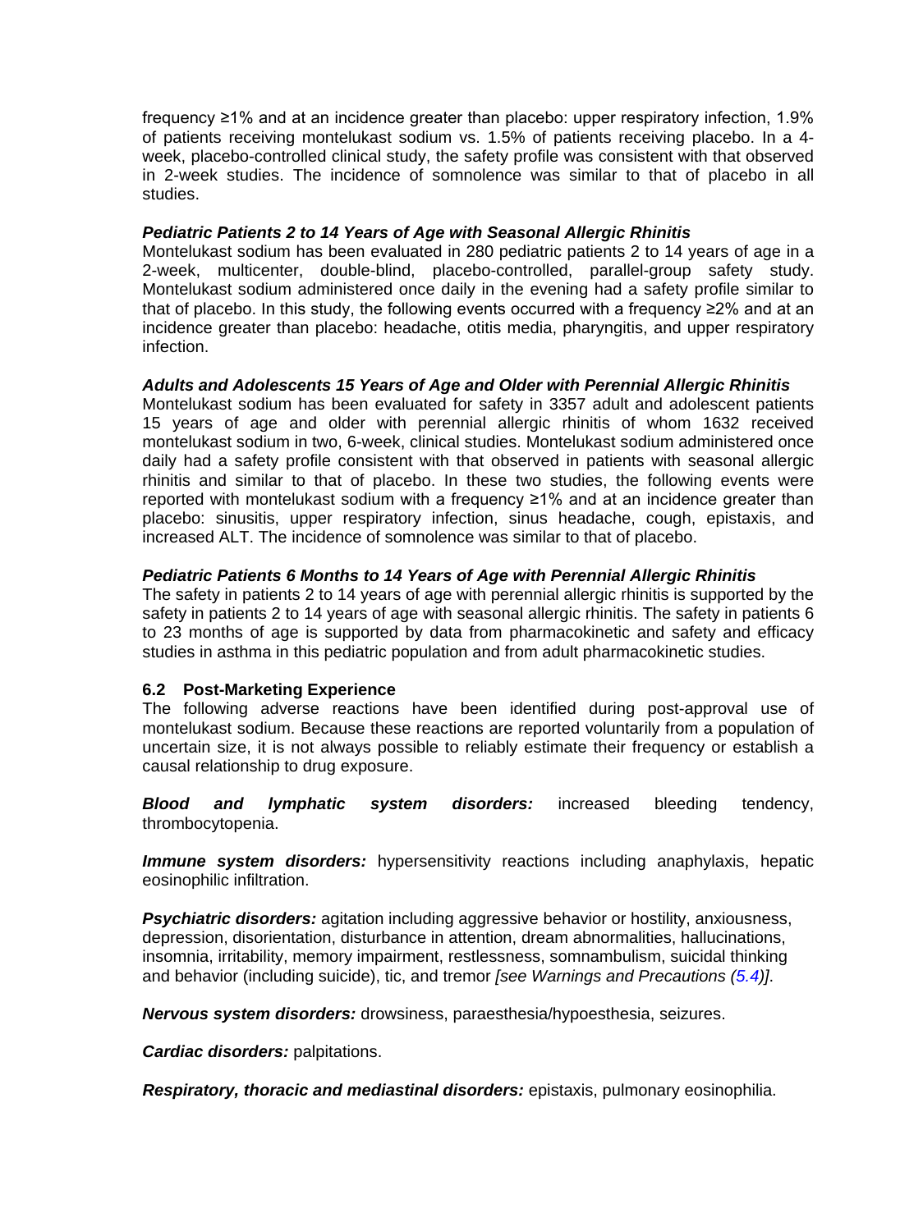frequency ≥1% and at an incidence greater than placebo: upper respiratory infection, 1.9% of patients receiving montelukast sodium vs. 1.5% of patients receiving placebo. In a 4 week, placebo-controlled clinical study, the safety profile was consistent with that observed in 2-week studies. The incidence of somnolence was similar to that of placebo in all studies.

## *Pediatric Patients 2 to 14 Years of Age with Seasonal Allergic Rhinitis*

Montelukast sodium has been evaluated in 280 pediatric patients 2 to 14 years of age in a 2-week, multicenter, double-blind, placebo-controlled, parallel-group safety study. Montelukast sodium administered once daily in the evening had a safety profile similar to that of placebo. In this study, the following events occurred with a frequency ≥2% and at an incidence greater than placebo: headache, otitis media, pharyngitis, and upper respiratory infection.

## *Adults and Adolescents 15 Years of Age and Older with Perennial Allergic Rhinitis*

Montelukast sodium has been evaluated for safety in 3357 adult and adolescent patients 15 years of age and older with perennial allergic rhinitis of whom 1632 received montelukast sodium in two, 6-week, clinical studies. Montelukast sodium administered once daily had a safety profile consistent with that observed in patients with seasonal allergic rhinitis and similar to that of placebo. In these two studies, the following events were reported with montelukast sodium with a frequency ≥1% and at an incidence greater than placebo: sinusitis, upper respiratory infection, sinus headache, cough, epistaxis, and increased ALT. The incidence of somnolence was similar to that of placebo.

## *Pediatric Patients 6 Months to 14 Years of Age with Perennial Allergic Rhinitis*

The safety in patients 2 to 14 years of age with perennial allergic rhinitis is supported by the safety in patients 2 to 14 years of age with seasonal allergic rhinitis. The safety in patients 6 to 23 months of age is supported by data from pharmacokinetic and safety and efficacy studies in asthma in this pediatric population and from adult pharmacokinetic studies.

## <span id="page-6-0"></span>**6.2 Post-Marketing Experience**

The following adverse reactions have been identified during post-approval use of montelukast sodium. Because these reactions are reported voluntarily from a population of uncertain size, it is not always possible to reliably estimate their frequency or establish a causal relationship to drug exposure.

*Blood and lymphatic system disorders:* increased bleeding tendency, thrombocytopenia.

*Immune system disorders:* hypersensitivity reactions including anaphylaxis, hepatic eosinophilic infiltration.

*Psychiatric disorders:* agitation including aggressive behavior or hostility, anxiousness, depression, disorientation, disturbance in attention, dream abnormalities, hallucinations, insomnia, irritability, memory impairment, restlessness, somnambulism, suicidal thinking and behavior (including suicide), tic, and tremor *[see Warnings and Precautions [\(5.4\)](#page-3-0)]*.

*Nervous system disorders:* drowsiness, paraesthesia/hypoesthesia, seizures.

*Cardiac disorders:* palpitations.

*Respiratory, thoracic and mediastinal disorders:* epistaxis, pulmonary eosinophilia.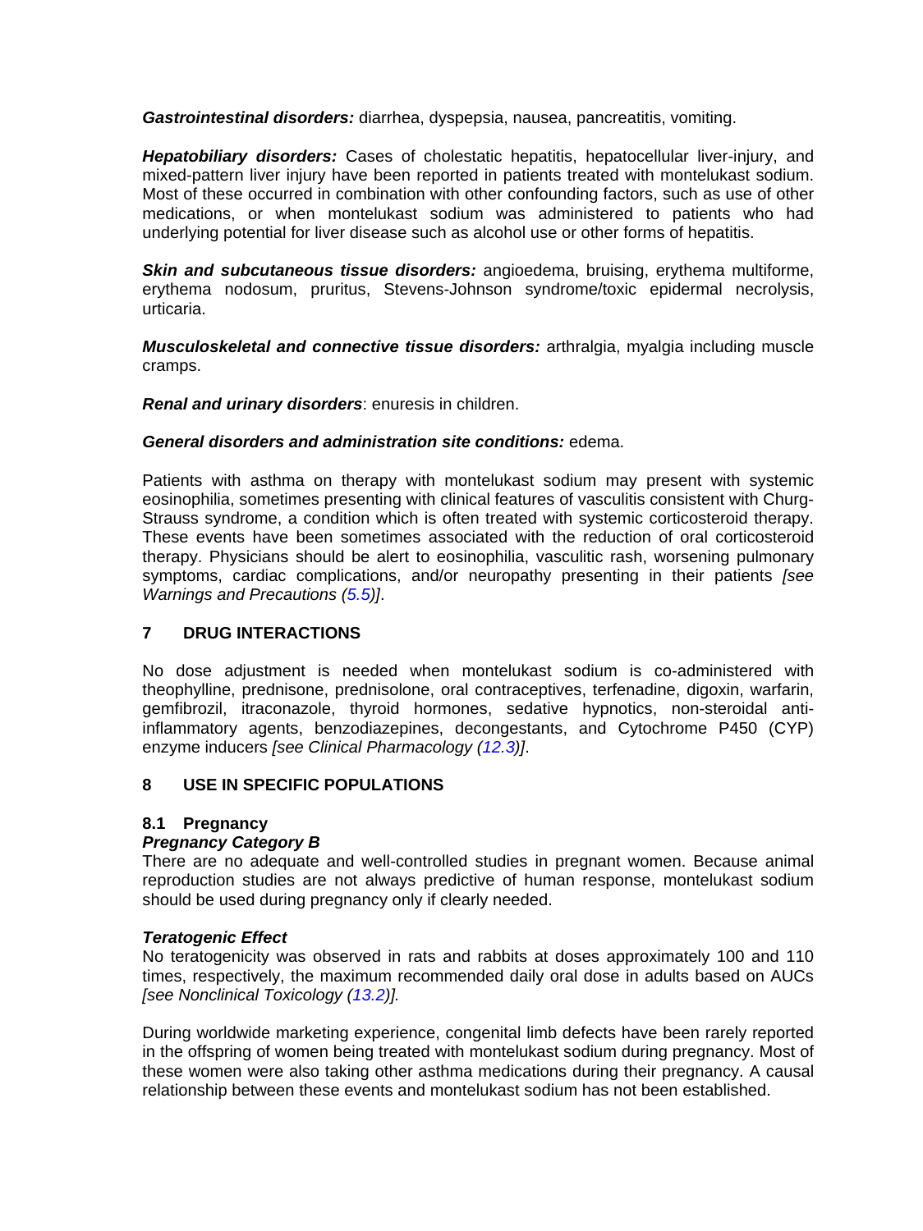*Gastrointestinal disorders:* diarrhea, dyspepsia, nausea, pancreatitis, vomiting.

*Hepatobiliary disorders:* Cases of cholestatic hepatitis, hepatocellular liver-injury, and mixed-pattern liver injury have been reported in patients treated with montelukast sodium. Most of these occurred in combination with other confounding factors, such as use of other medications, or when montelukast sodium was administered to patients who had underlying potential for liver disease such as alcohol use or other forms of hepatitis.

*Skin and subcutaneous tissue disorders:* angioedema, bruising, erythema multiforme, erythema nodosum, pruritus, Stevens-Johnson syndrome/toxic epidermal necrolysis, urticaria.

*Musculoskeletal and connective tissue disorders:* arthralgia, myalgia including muscle cramps.

*Renal and urinary disorders*: enuresis in children.

## *General disorders and administration site conditions:* edema.

Patients with asthma on therapy with montelukast sodium may present with systemic eosinophilia, sometimes presenting with clinical features of vasculitis consistent with Churg-Strauss syndrome, a condition which is often treated with systemic corticosteroid therapy. These events have been sometimes associated with the reduction of oral corticosteroid therapy. Physicians should be alert to eosinophilia, vasculitic rash, worsening pulmonary symptoms, cardiac complications, and/or neuropathy presenting in their patients *[see Warnings and Precautions [\(5.5\)](#page-3-2)]*.

## <span id="page-7-0"></span>**7 DRUG INTERACTIONS**

No dose adjustment is needed when montelukast sodium is co-administered with theophylline, prednisone, prednisolone, oral contraceptives, terfenadine, digoxin, warfarin, gemfibrozil, itraconazole, thyroid hormones, sedative hypnotics, non-steroidal antiinflammatory agents, benzodiazepines, decongestants, and Cytochrome P450 (CYP) enzyme inducers *[see Clinical Pharmacology [\(12.3\)](#page-11-1)]*.

## <span id="page-7-1"></span>**8 USE IN SPECIFIC POPULATIONS**

## <span id="page-7-2"></span>**8.1 Pregnancy**

## *Pregnancy Category B*

There are no adequate and well-controlled studies in pregnant women. Because animal reproduction studies are not always predictive of human response, montelukast sodium should be used during pregnancy only if clearly needed.

## *Teratogenic Effect*

No teratogenicity was observed in rats and rabbits at doses approximately 100 and 110 times, respectively, the maximum recommended daily oral dose in adults based on AUCs *[see Nonclinical Toxicology [\(13.2\)](#page-15-0)].*

During worldwide marketing experience, congenital limb defects have been rarely reported in the offspring of women being treated with montelukast sodium during pregnancy. Most of these women were also taking other asthma medications during their pregnancy. A causal relationship between these events and montelukast sodium has not been established.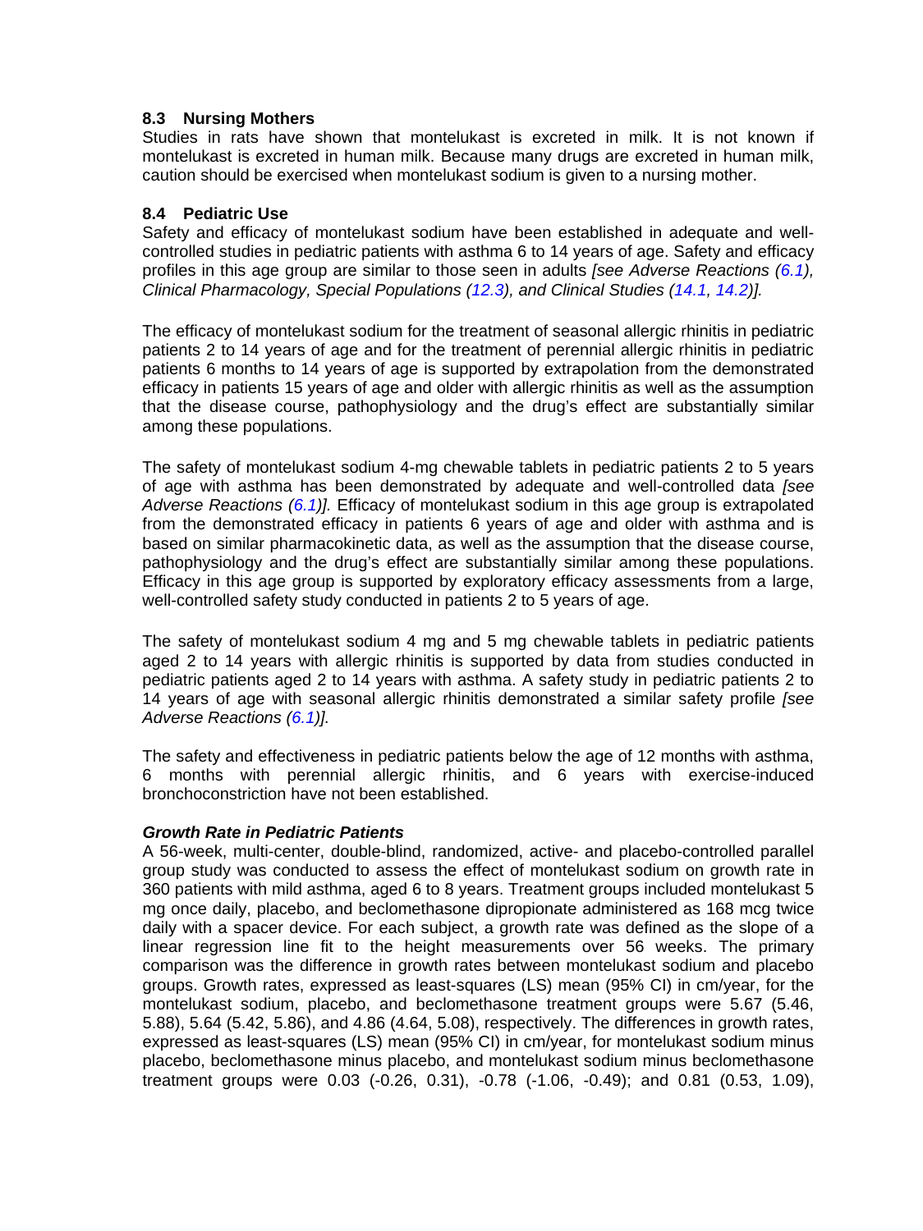## <span id="page-8-0"></span>**8.3 Nursing Mothers**

Studies in rats have shown that montelukast is excreted in milk. It is not known if montelukast is excreted in human milk. Because many drugs are excreted in human milk, caution should be exercised when montelukast sodium is given to a nursing mother.

## <span id="page-8-1"></span>**8.4 Pediatric Use**

Safety and efficacy of montelukast sodium have been established in adequate and wellcontrolled studies in pediatric patients with asthma 6 to 14 years of age. Safety and efficacy profiles in this age group are similar to those seen in adults *[see Adverse Reactions [\(6.1\)](#page-3-4), Clinical Pharmacology, Special Populations [\(12.3\)](#page-11-1), and Clinical Studies [\(14.1,](#page-15-2) [14.2\)](#page-18-0)].*

The efficacy of montelukast sodium for the treatment of seasonal allergic rhinitis in pediatric patients 2 to 14 years of age and for the treatment of perennial allergic rhinitis in pediatric patients 6 months to 14 years of age is supported by extrapolation from the demonstrated efficacy in patients 15 years of age and older with allergic rhinitis as well as the assumption that the disease course, pathophysiology and the drug's effect are substantially similar among these populations.

The safety of montelukast sodium 4-mg chewable tablets in pediatric patients 2 to 5 years of age with asthma has been demonstrated by adequate and well-controlled data *[see Adverse Reactions [\(6.1\)](#page-3-4)].* Efficacy of montelukast sodium in this age group is extrapolated from the demonstrated efficacy in patients 6 years of age and older with asthma and is based on similar pharmacokinetic data, as well as the assumption that the disease course, pathophysiology and the drug's effect are substantially similar among these populations. Efficacy in this age group is supported by exploratory efficacy assessments from a large, well-controlled safety study conducted in patients 2 to 5 years of age.

The safety of montelukast sodium 4 mg and 5 mg chewable tablets in pediatric patients aged 2 to 14 years with allergic rhinitis is supported by data from studies conducted in pediatric patients aged 2 to 14 years with asthma. A safety study in pediatric patients 2 to 14 years of age with seasonal allergic rhinitis demonstrated a similar safety profile *[see Adverse Reactions [\(6.1\)](#page-3-4)].* 

The safety and effectiveness in pediatric patients below the age of 12 months with asthma, 6 months with perennial allergic rhinitis, and 6 years with exercise-induced bronchoconstriction have not been established.

## *Growth Rate in Pediatric Patients*

A 56-week, multi-center, double-blind, randomized, active- and placebo-controlled parallel group study was conducted to assess the effect of montelukast sodium on growth rate in 360 patients with mild asthma, aged 6 to 8 years. Treatment groups included montelukast 5 mg once daily, placebo, and beclomethasone dipropionate administered as 168 mcg twice daily with a spacer device. For each subject, a growth rate was defined as the slope of a linear regression line fit to the height measurements over 56 weeks. The primary comparison was the difference in growth rates between montelukast sodium and placebo groups. Growth rates, expressed as least-squares (LS) mean (95% CI) in cm/year, for the montelukast sodium, placebo, and beclomethasone treatment groups were 5.67 (5.46, 5.88), 5.64 (5.42, 5.86), and 4.86 (4.64, 5.08), respectively. The differences in growth rates, expressed as least-squares (LS) mean (95% CI) in cm/year, for montelukast sodium minus placebo, beclomethasone minus placebo, and montelukast sodium minus beclomethasone treatment groups were 0.03 (-0.26, 0.31), -0.78 (-1.06, -0.49); and 0.81 (0.53, 1.09),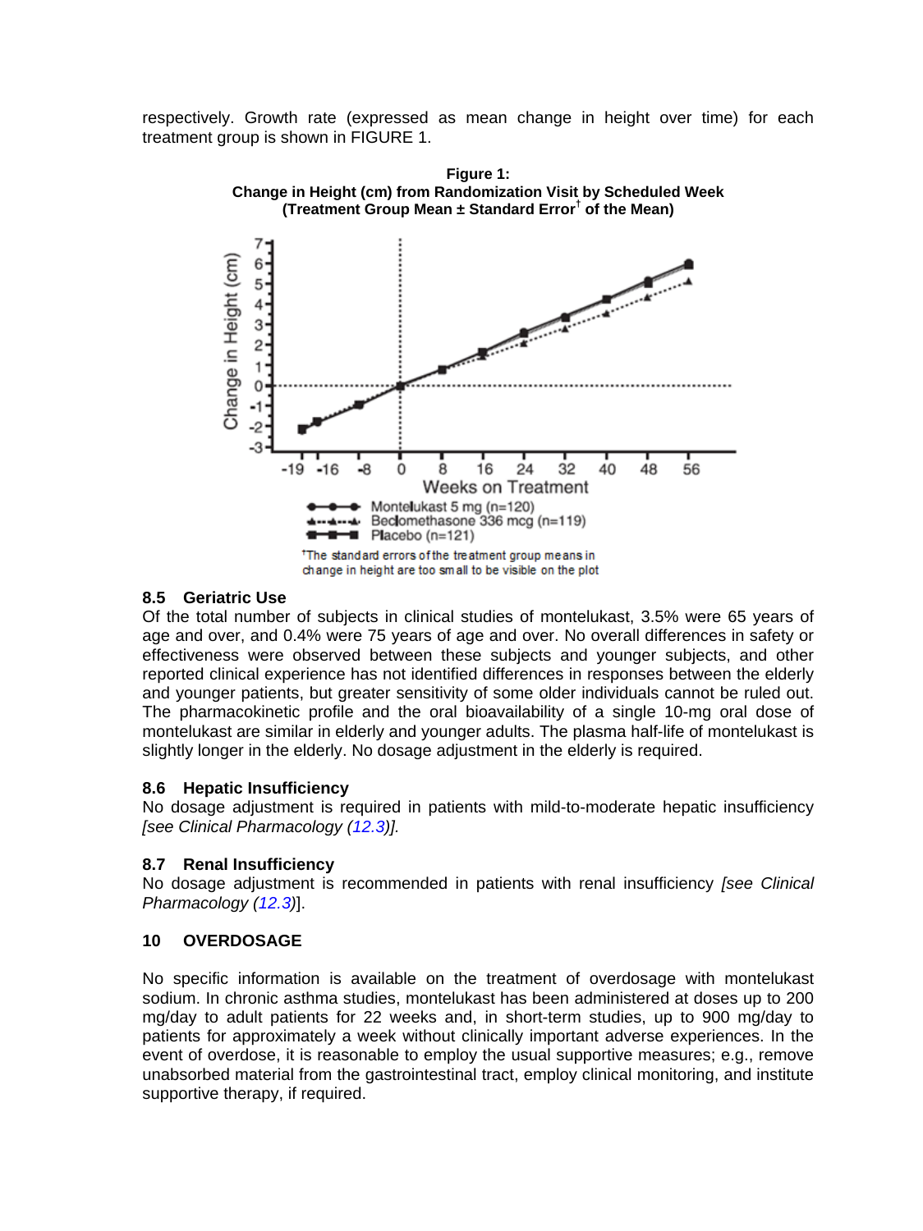respectively. Growth rate (expressed as mean change in height over time) for each treatment group is shown in FIGURE 1.



## <span id="page-9-0"></span>**8.5 Geriatric Use**

Of the total number of subjects in clinical studies of montelukast, 3.5% were 65 years of age and over, and 0.4% were 75 years of age and over. No overall differences in safety or effectiveness were observed between these subjects and younger subjects, and other reported clinical experience has not identified differences in responses between the elderly and younger patients, but greater sensitivity of some older individuals cannot be ruled out. The pharmacokinetic profile and the oral bioavailability of a single 10-mg oral dose of montelukast are similar in elderly and younger adults. The plasma half-life of montelukast is slightly longer in the elderly. No dosage adjustment in the elderly is required.

## <span id="page-9-1"></span>**8.6 Hepatic Insufficiency**

No dosage adjustment is required in patients with mild-to-moderate hepatic insufficiency *[see Clinical Pharmacology [\(12.3\)](#page-11-1)].*

## <span id="page-9-2"></span>**8.7 Renal Insufficiency**

No dosage adjustment is recommended in patients with renal insufficiency *[see Clinical Pharmacology [\(12.3\)](#page-11-1)*].

# <span id="page-9-3"></span>**10 OVERDOSAGE**

No specific information is available on the treatment of overdosage with montelukast sodium. In chronic asthma studies, montelukast has been administered at doses up to 200 mg/day to adult patients for 22 weeks and, in short-term studies, up to 900 mg/day to patients for approximately a week without clinically important adverse experiences. In the event of overdose, it is reasonable to employ the usual supportive measures; e.g., remove unabsorbed material from the gastrointestinal tract, employ clinical monitoring, and institute supportive therapy, if required.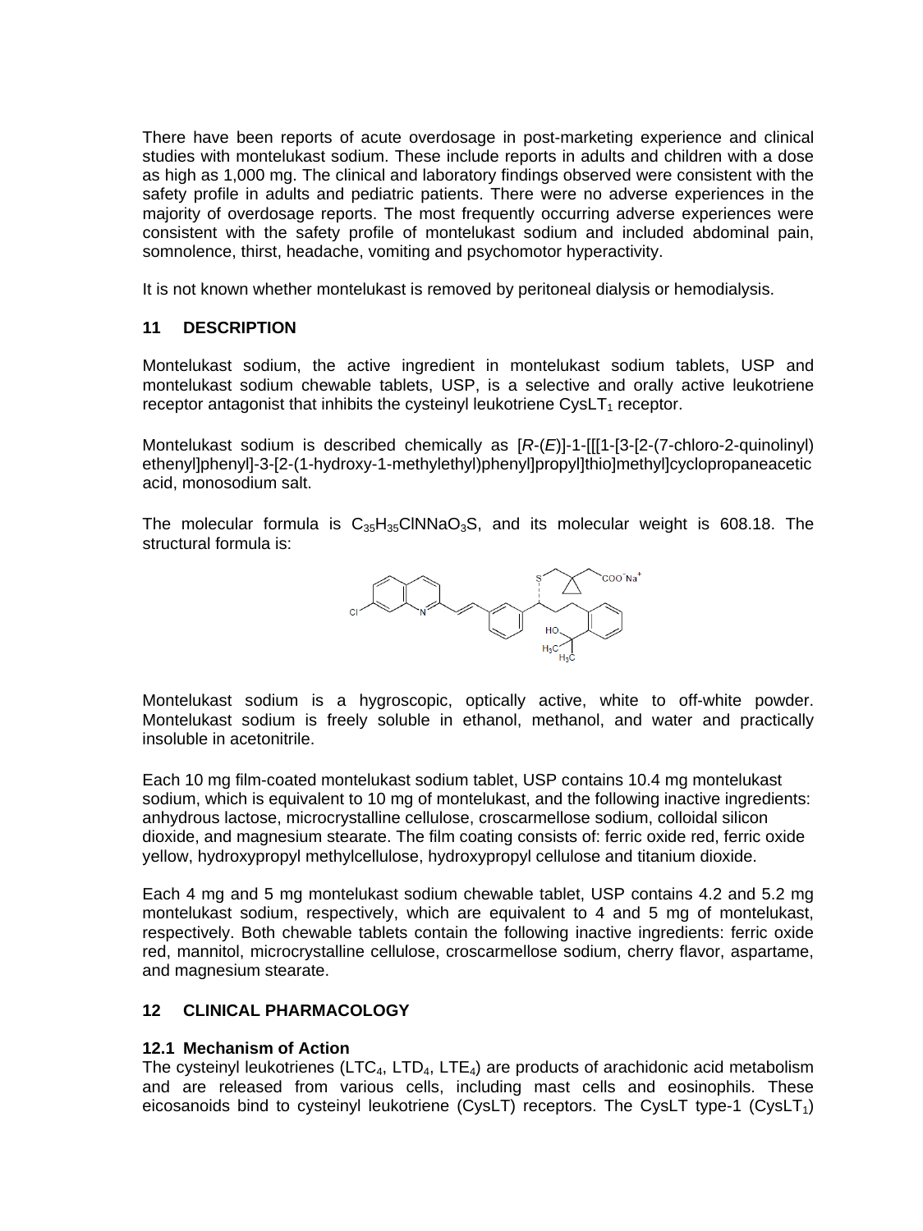There have been reports of acute overdosage in post-marketing experience and clinical studies with montelukast sodium. These include reports in adults and children with a dose as high as 1,000 mg. The clinical and laboratory findings observed were consistent with the safety profile in adults and pediatric patients. There were no adverse experiences in the majority of overdosage reports. The most frequently occurring adverse experiences were consistent with the safety profile of montelukast sodium and included abdominal pain, somnolence, thirst, headache, vomiting and psychomotor hyperactivity.

It is not known whether montelukast is removed by peritoneal dialysis or hemodialysis.

## <span id="page-10-0"></span>**11 DESCRIPTION**

Montelukast sodium, the active ingredient in montelukast sodium tablets, USP and montelukast sodium chewable tablets, USP, is a selective and orally active leukotriene receptor antagonist that inhibits the cysteinyl leukotriene  $CysLT<sub>1</sub>$  receptor.

Montelukast sodium is described chemically as [*R*-(*E*)]-1-[[[1-[3-[2-(7-chloro-2-quinolinyl) ethenyl]phenyl]-3-[2-(1-hydroxy-1-methylethyl)phenyl]propyl]thio]methyl]cyclopropaneacetic acid, monosodium salt.

The molecular formula is  $C_{35}H_{35}CINNaO_3S$ , and its molecular weight is 608.18. The structural formula is:



Montelukast sodium is a hygroscopic, optically active, white to off-white powder. Montelukast sodium is freely soluble in ethanol, methanol, and water and practically insoluble in acetonitrile.

Each 10 mg film-coated montelukast sodium tablet, USP contains 10.4 mg montelukast sodium, which is equivalent to 10 mg of montelukast, and the following inactive ingredients: anhydrous lactose, microcrystalline cellulose, croscarmellose sodium, colloidal silicon dioxide, and magnesium stearate. The film coating consists of: ferric oxide red, ferric oxide yellow, hydroxypropyl methylcellulose, hydroxypropyl cellulose and titanium dioxide.

Each 4 mg and 5 mg montelukast sodium chewable tablet, USP contains 4.2 and 5.2 mg montelukast sodium, respectively, which are equivalent to 4 and 5 mg of montelukast, respectively. Both chewable tablets contain the following inactive ingredients: ferric oxide red, mannitol, microcrystalline cellulose, croscarmellose sodium, cherry flavor, aspartame, and magnesium stearate.

## <span id="page-10-1"></span>**12 CLINICAL PHARMACOLOGY**

## <span id="page-10-2"></span>**12.1 Mechanism of Action**

The cysteinyl leukotrienes (LTC<sub>4</sub>, LTD<sub>4</sub>, LTE<sub>4</sub>) are products of arachidonic acid metabolism and are released from various cells, including mast cells and eosinophils. These eicosanoids bind to cysteinyl leukotriene (CysLT) receptors. The CysLT type-1 (CysLT<sub>1</sub>)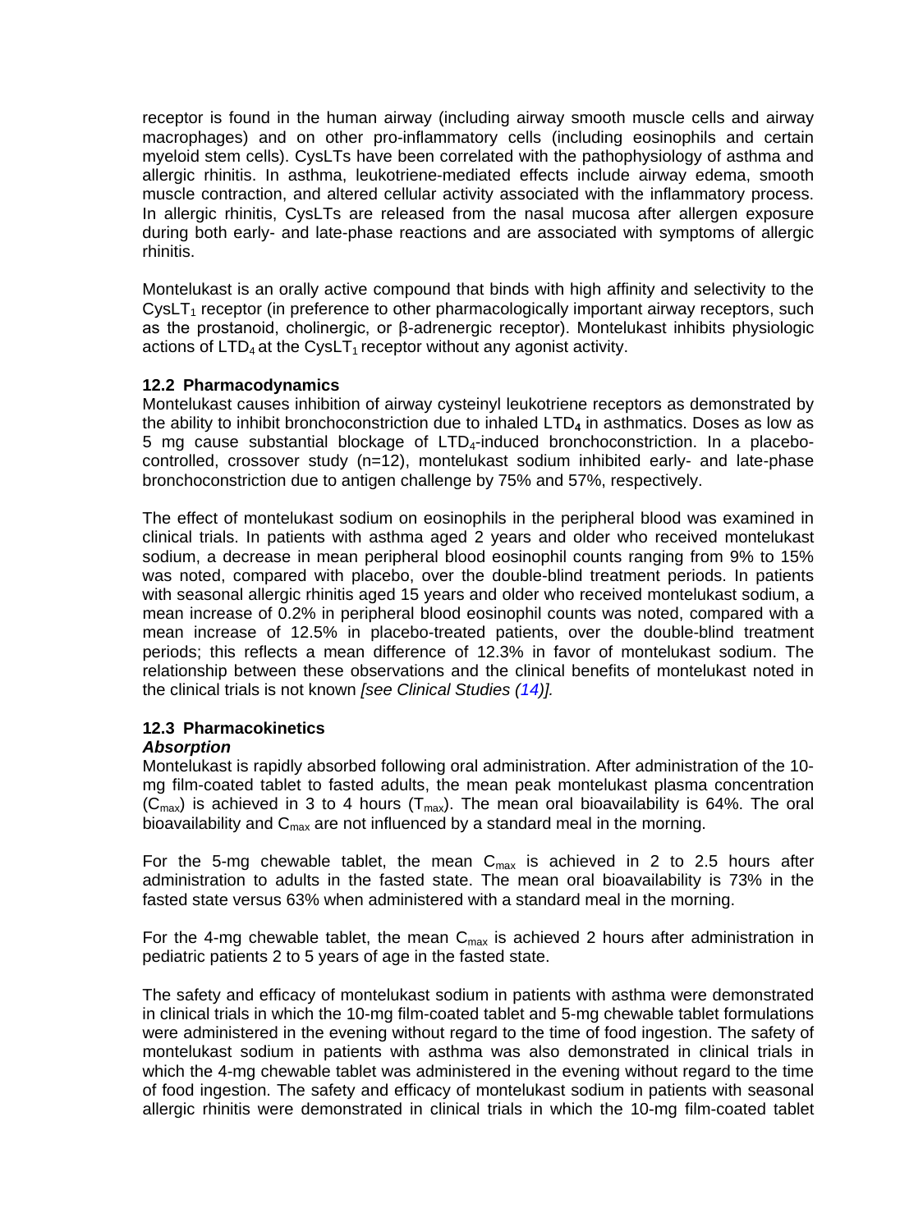receptor is found in the human airway (including airway smooth muscle cells and airway macrophages) and on other pro-inflammatory cells (including eosinophils and certain myeloid stem cells). CysLTs have been correlated with the pathophysiology of asthma and allergic rhinitis. In asthma, leukotriene-mediated effects include airway edema, smooth muscle contraction, and altered cellular activity associated with the inflammatory process. In allergic rhinitis, CysLTs are released from the nasal mucosa after allergen exposure during both early- and late-phase reactions and are associated with symptoms of allergic rhinitis.

Montelukast is an orally active compound that binds with high affinity and selectivity to the  $C$ vsLT<sub>1</sub> receptor (in preference to other pharmacologically important airway receptors, such as the prostanoid, cholinergic, or β-adrenergic receptor). Montelukast inhibits physiologic actions of  $LTD<sub>4</sub>$  at the CysLT<sub>1</sub> receptor without any agonist activity.

## <span id="page-11-0"></span>**12.2 Pharmacodynamics**

Montelukast causes inhibition of airway cysteinyl leukotriene receptors as demonstrated by the ability to inhibit bronchoconstriction due to inhaled LTD**<sup>4</sup>** in asthmatics. Doses as low as 5 mg cause substantial blockage of LTD4-induced bronchoconstriction. In a placebocontrolled, crossover study (n=12), montelukast sodium inhibited early- and late-phase bronchoconstriction due to antigen challenge by 75% and 57%, respectively.

The effect of montelukast sodium on eosinophils in the peripheral blood was examined in clinical trials. In patients with asthma aged 2 years and older who received montelukast sodium, a decrease in mean peripheral blood eosinophil counts ranging from 9% to 15% was noted, compared with placebo, over the double-blind treatment periods. In patients with seasonal allergic rhinitis aged 15 years and older who received montelukast sodium, a mean increase of 0.2% in peripheral blood eosinophil counts was noted, compared with a mean increase of 12.5% in placebo-treated patients, over the double-blind treatment periods; this reflects a mean difference of 12.3% in favor of montelukast sodium. The relationship between these observations and the clinical benefits of montelukast noted in the clinical trials is not known *[see Clinical Studies [\(14\)](#page-15-1)].*

# <span id="page-11-1"></span>**12.3 Pharmacokinetics**

## *Absorption*

Montelukast is rapidly absorbed following oral administration. After administration of the 10 mg film-coated tablet to fasted adults, the mean peak montelukast plasma concentration  $(C_{\text{max}})$  is achieved in 3 to 4 hours (T<sub>max</sub>). The mean oral bioavailability is 64%. The oral bioavailability and  $C_{\text{max}}$  are not influenced by a standard meal in the morning.

For the 5-mg chewable tablet, the mean  $C_{max}$  is achieved in 2 to 2.5 hours after administration to adults in the fasted state. The mean oral bioavailability is 73% in the fasted state versus 63% when administered with a standard meal in the morning.

For the 4-mg chewable tablet, the mean  $C_{\text{max}}$  is achieved 2 hours after administration in pediatric patients 2 to 5 years of age in the fasted state.

The safety and efficacy of montelukast sodium in patients with asthma were demonstrated in clinical trials in which the 10-mg film-coated tablet and 5-mg chewable tablet formulations were administered in the evening without regard to the time of food ingestion. The safety of montelukast sodium in patients with asthma was also demonstrated in clinical trials in which the 4-mg chewable tablet was administered in the evening without regard to the time of food ingestion. The safety and efficacy of montelukast sodium in patients with seasonal allergic rhinitis were demonstrated in clinical trials in which the 10-mg film-coated tablet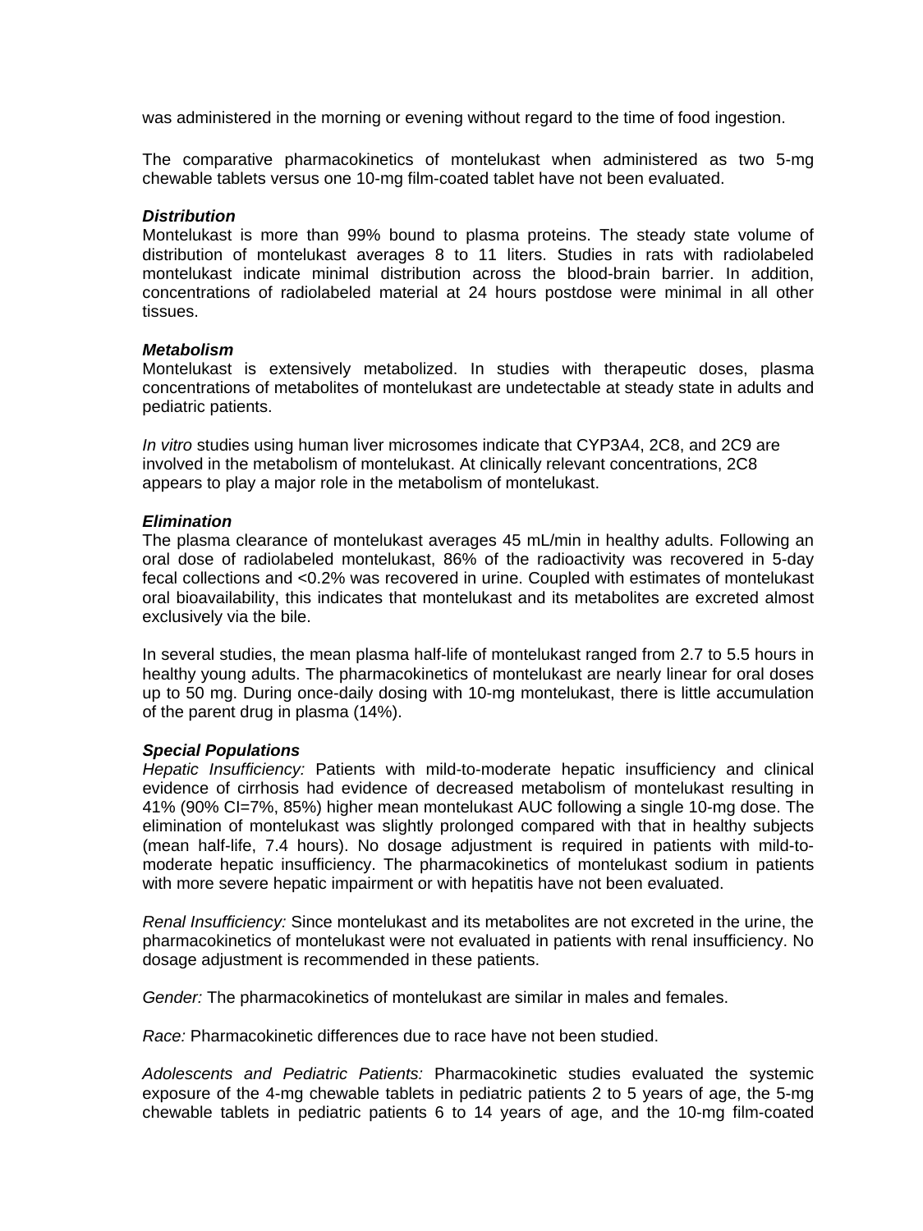was administered in the morning or evening without regard to the time of food ingestion.

The comparative pharmacokinetics of montelukast when administered as two 5-mg chewable tablets versus one 10-mg film-coated tablet have not been evaluated.

#### *Distribution*

Montelukast is more than 99% bound to plasma proteins. The steady state volume of distribution of montelukast averages 8 to 11 liters. Studies in rats with radiolabeled montelukast indicate minimal distribution across the blood-brain barrier. In addition, concentrations of radiolabeled material at 24 hours postdose were minimal in all other tissues.

## *Metabolism*

Montelukast is extensively metabolized. In studies with therapeutic doses, plasma concentrations of metabolites of montelukast are undetectable at steady state in adults and pediatric patients.

*In vitro* studies using human liver microsomes indicate that CYP3A4, 2C8, and 2C9 are involved in the metabolism of montelukast. At clinically relevant concentrations, 2C8 appears to play a major role in the metabolism of montelukast.

## *Elimination*

The plasma clearance of montelukast averages 45 mL/min in healthy adults. Following an oral dose of radiolabeled montelukast, 86% of the radioactivity was recovered in 5-day fecal collections and <0.2% was recovered in urine. Coupled with estimates of montelukast oral bioavailability, this indicates that montelukast and its metabolites are excreted almost exclusively via the bile.

In several studies, the mean plasma half-life of montelukast ranged from 2.7 to 5.5 hours in healthy young adults. The pharmacokinetics of montelukast are nearly linear for oral doses up to 50 mg. During once-daily dosing with 10-mg montelukast, there is little accumulation of the parent drug in plasma (14%).

#### *Special Populations*

*Hepatic Insufficiency:* Patients with mild-to-moderate hepatic insufficiency and clinical evidence of cirrhosis had evidence of decreased metabolism of montelukast resulting in 41% (90% CI=7%, 85%) higher mean montelukast AUC following a single 10-mg dose. The elimination of montelukast was slightly prolonged compared with that in healthy subjects (mean half-life, 7.4 hours). No dosage adjustment is required in patients with mild-tomoderate hepatic insufficiency. The pharmacokinetics of montelukast sodium in patients with more severe hepatic impairment or with hepatitis have not been evaluated.

*Renal Insufficiency:* Since montelukast and its metabolites are not excreted in the urine, the pharmacokinetics of montelukast were not evaluated in patients with renal insufficiency. No dosage adjustment is recommended in these patients.

*Gender:* The pharmacokinetics of montelukast are similar in males and females.

*Race:* Pharmacokinetic differences due to race have not been studied.

*Adolescents and Pediatric Patients:* Pharmacokinetic studies evaluated the systemic exposure of the 4-mg chewable tablets in pediatric patients 2 to 5 years of age, the 5-mg chewable tablets in pediatric patients 6 to 14 years of age, and the 10-mg film-coated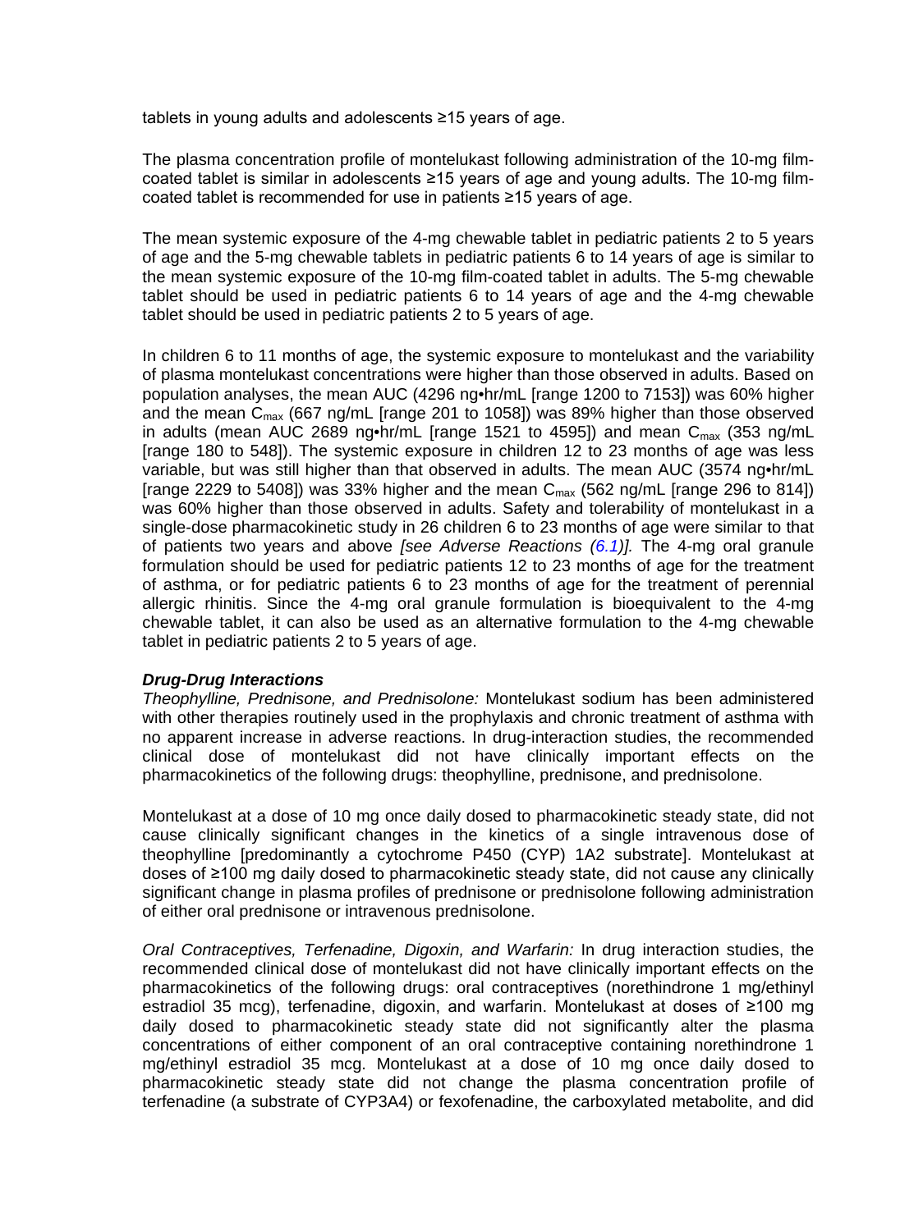tablets in young adults and adolescents ≥15 years of age.

The plasma concentration profile of montelukast following administration of the 10-mg filmcoated tablet is similar in adolescents ≥15 years of age and young adults. The 10-mg filmcoated tablet is recommended for use in patients ≥15 years of age.

The mean systemic exposure of the 4-mg chewable tablet in pediatric patients 2 to 5 years of age and the 5-mg chewable tablets in pediatric patients 6 to 14 years of age is similar to the mean systemic exposure of the 10-mg film-coated tablet in adults. The 5-mg chewable tablet should be used in pediatric patients 6 to 14 years of age and the 4-mg chewable tablet should be used in pediatric patients 2 to 5 years of age.

In children 6 to 11 months of age, the systemic exposure to montelukast and the variability of plasma montelukast concentrations were higher than those observed in adults. Based on population analyses, the mean AUC (4296 ng•hr/mL [range 1200 to 7153]) was 60% higher and the mean  $C_{\text{max}}$  (667 ng/mL [range 201 to 1058]) was 89% higher than those observed in adults (mean AUC 2689 ng•hr/mL [range 1521 to 4595]) and mean  $C_{\text{max}}$  (353 ng/mL [range 180 to 548]). The systemic exposure in children 12 to 23 months of age was less variable, but was still higher than that observed in adults. The mean AUC (3574 ng•hr/mL [range 2229 to 5408]) was 33% higher and the mean  $C_{\text{max}}$  (562 ng/mL [range 296 to 814]) was 60% higher than those observed in adults. Safety and tolerability of montelukast in a single-dose pharmacokinetic study in 26 children 6 to 23 months of age were similar to that of patients two years and above *[see Adverse Reactions [\(6.1\)](#page-3-4)].* The 4-mg oral granule formulation should be used for pediatric patients 12 to 23 months of age for the treatment of asthma, or for pediatric patients 6 to 23 months of age for the treatment of perennial allergic rhinitis. Since the 4-mg oral granule formulation is bioequivalent to the 4-mg chewable tablet, it can also be used as an alternative formulation to the 4-mg chewable tablet in pediatric patients 2 to 5 years of age.

## *Drug-Drug Interactions*

*Theophylline, Prednisone, and Prednisolone:* Montelukast sodium has been administered with other therapies routinely used in the prophylaxis and chronic treatment of asthma with no apparent increase in adverse reactions. In drug-interaction studies, the recommended clinical dose of montelukast did not have clinically important effects on the pharmacokinetics of the following drugs: theophylline, prednisone, and prednisolone.

Montelukast at a dose of 10 mg once daily dosed to pharmacokinetic steady state, did not cause clinically significant changes in the kinetics of a single intravenous dose of theophylline [predominantly a cytochrome P450 (CYP) 1A2 substrate]. Montelukast at doses of ≥100 mg daily dosed to pharmacokinetic steady state, did not cause any clinically significant change in plasma profiles of prednisone or prednisolone following administration of either oral prednisone or intravenous prednisolone.

*Oral Contraceptives, Terfenadine, Digoxin, and Warfarin:* In drug interaction studies, the recommended clinical dose of montelukast did not have clinically important effects on the pharmacokinetics of the following drugs: oral contraceptives (norethindrone 1 mg/ethinyl estradiol 35 mcg), terfenadine, digoxin, and warfarin. Montelukast at doses of ≥100 mg daily dosed to pharmacokinetic steady state did not significantly alter the plasma concentrations of either component of an oral contraceptive containing norethindrone 1 mg/ethinyl estradiol 35 mcg. Montelukast at a dose of 10 mg once daily dosed to pharmacokinetic steady state did not change the plasma concentration profile of terfenadine (a substrate of CYP3A4) or fexofenadine, the carboxylated metabolite, and did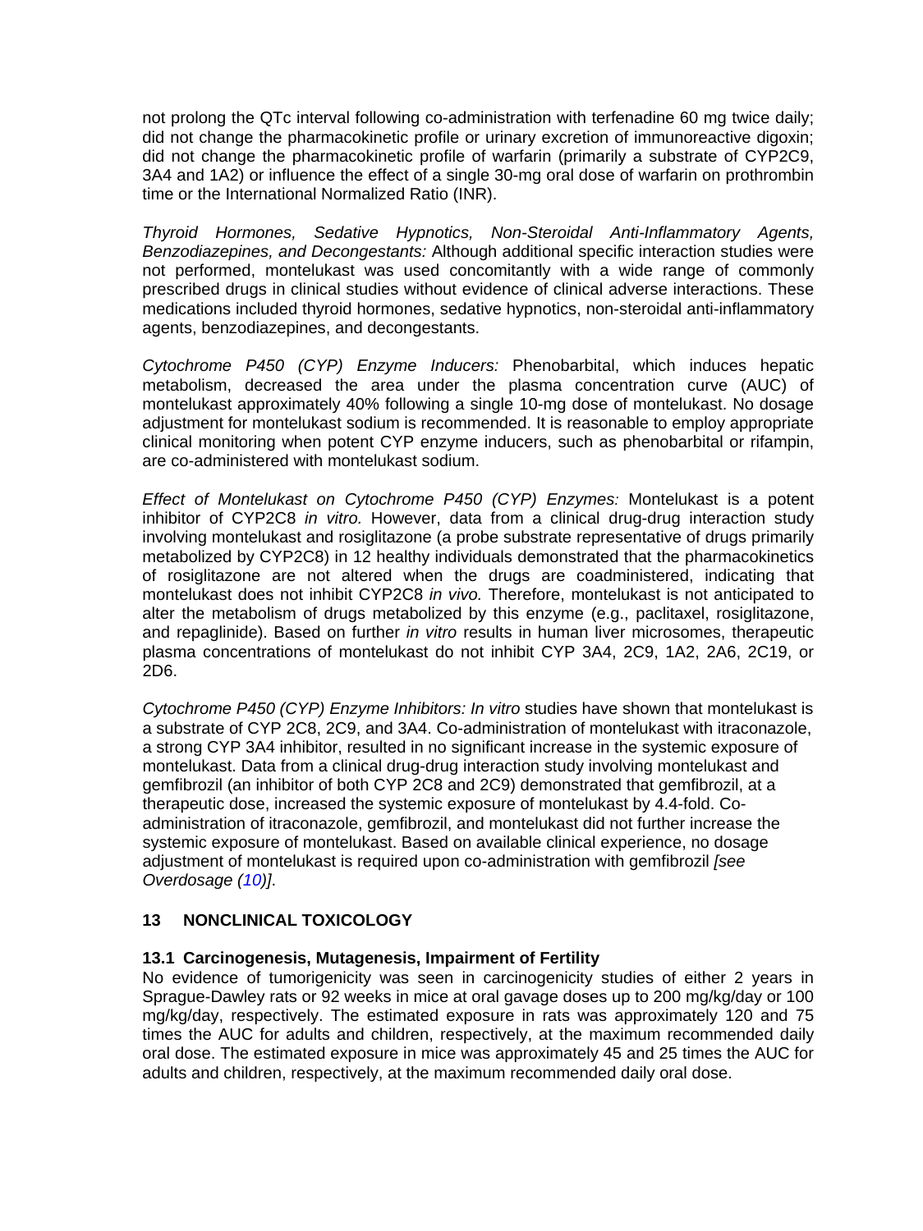not prolong the QTc interval following co-administration with terfenadine 60 mg twice daily; did not change the pharmacokinetic profile or urinary excretion of immunoreactive digoxin; did not change the pharmacokinetic profile of warfarin (primarily a substrate of CYP2C9, 3A4 and 1A2) or influence the effect of a single 30-mg oral dose of warfarin on prothrombin time or the International Normalized Ratio (INR).

*Thyroid Hormones, Sedative Hypnotics, Non-Steroidal Anti-Inflammatory Agents, Benzodiazepines, and Decongestants:* Although additional specific interaction studies were not performed, montelukast was used concomitantly with a wide range of commonly prescribed drugs in clinical studies without evidence of clinical adverse interactions. These medications included thyroid hormones, sedative hypnotics, non-steroidal anti-inflammatory agents, benzodiazepines, and decongestants.

*Cytochrome P450 (CYP) Enzyme Inducers:* Phenobarbital, which induces hepatic metabolism, decreased the area under the plasma concentration curve (AUC) of montelukast approximately 40% following a single 10-mg dose of montelukast. No dosage adjustment for montelukast sodium is recommended. It is reasonable to employ appropriate clinical monitoring when potent CYP enzyme inducers, such as phenobarbital or rifampin, are co-administered with montelukast sodium.

*Effect of Montelukast on Cytochrome P450 (CYP) Enzymes:* Montelukast is a potent inhibitor of CYP2C8 *in vitro.* However, data from a clinical drug-drug interaction study involving montelukast and rosiglitazone (a probe substrate representative of drugs primarily metabolized by CYP2C8) in 12 healthy individuals demonstrated that the pharmacokinetics of rosiglitazone are not altered when the drugs are coadministered, indicating that montelukast does not inhibit CYP2C8 *in vivo.* Therefore, montelukast is not anticipated to alter the metabolism of drugs metabolized by this enzyme (e.g., paclitaxel, rosiglitazone, and repaglinide). Based on further *in vitro* results in human liver microsomes, therapeutic plasma concentrations of montelukast do not inhibit CYP 3A4, 2C9, 1A2, 2A6, 2C19, or 2D6.

*Cytochrome P450 (CYP) Enzyme Inhibitors: In vitro* studies have shown that montelukast is a substrate of CYP 2C8, 2C9, and 3A4. Co-administration of montelukast with itraconazole, a strong CYP 3A4 inhibitor, resulted in no significant increase in the systemic exposure of montelukast. Data from a clinical drug-drug interaction study involving montelukast and gemfibrozil (an inhibitor of both CYP 2C8 and 2C9) demonstrated that gemfibrozil, at a therapeutic dose, increased the systemic exposure of montelukast by 4.4-fold. Coadministration of itraconazole, gemfibrozil, and montelukast did not further increase the systemic exposure of montelukast. Based on available clinical experience, no dosage adjustment of montelukast is required upon co-administration with gemfibrozil *[see Overdosage [\(10\)](#page-9-3)]*.

# <span id="page-14-0"></span>**13 NONCLINICAL TOXICOLOGY**

## <span id="page-14-1"></span>**13.1 Carcinogenesis, Mutagenesis, Impairment of Fertility**

No evidence of tumorigenicity was seen in carcinogenicity studies of either 2 years in Sprague-Dawley rats or 92 weeks in mice at oral gavage doses up to 200 mg/kg/day or 100 mg/kg/day, respectively. The estimated exposure in rats was approximately 120 and 75 times the AUC for adults and children, respectively, at the maximum recommended daily oral dose. The estimated exposure in mice was approximately 45 and 25 times the AUC for adults and children, respectively, at the maximum recommended daily oral dose.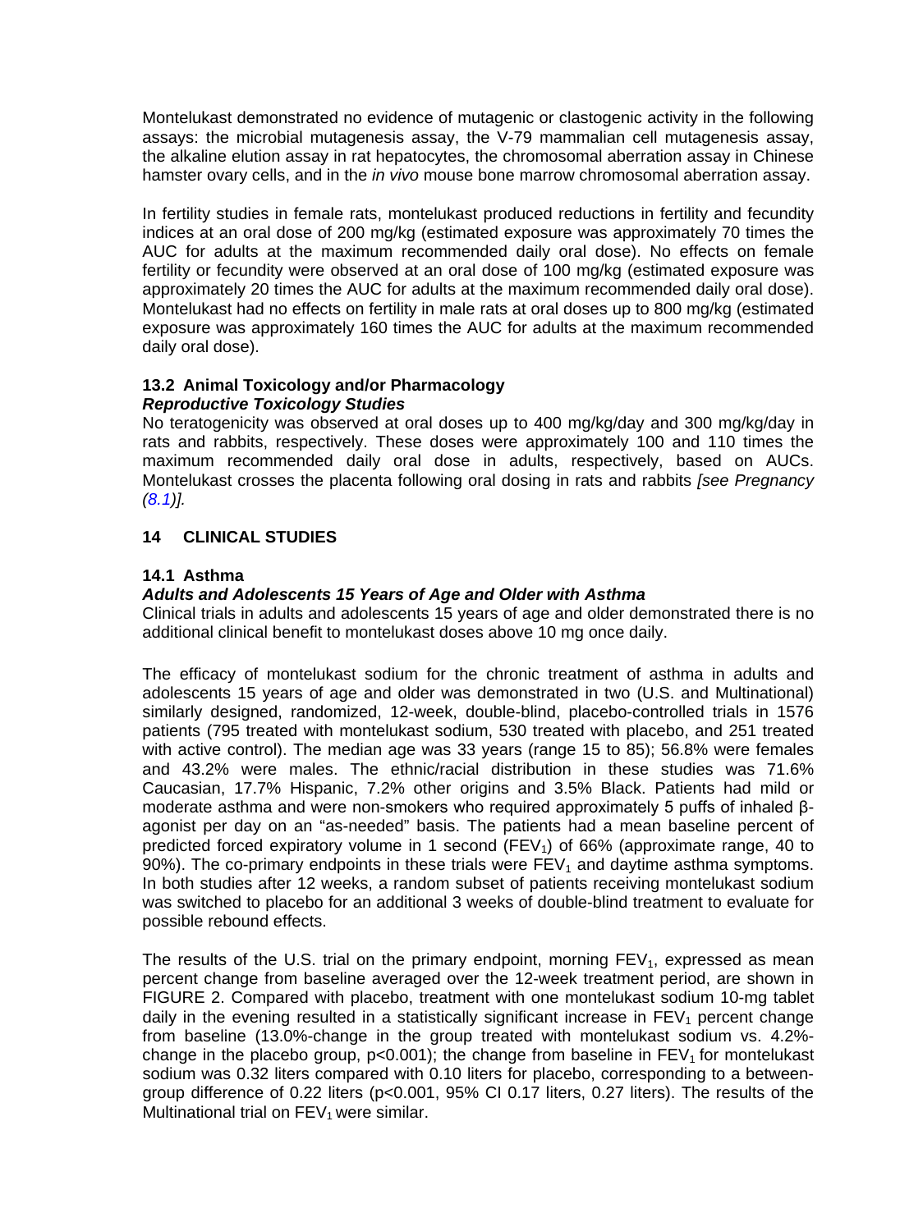Montelukast demonstrated no evidence of mutagenic or clastogenic activity in the following assays: the microbial mutagenesis assay, the V-79 mammalian cell mutagenesis assay, the alkaline elution assay in rat hepatocytes, the chromosomal aberration assay in Chinese hamster ovary cells, and in the *in vivo* mouse bone marrow chromosomal aberration assay.

In fertility studies in female rats, montelukast produced reductions in fertility and fecundity indices at an oral dose of 200 mg/kg (estimated exposure was approximately 70 times the AUC for adults at the maximum recommended daily oral dose). No effects on female fertility or fecundity were observed at an oral dose of 100 mg/kg (estimated exposure was approximately 20 times the AUC for adults at the maximum recommended daily oral dose). Montelukast had no effects on fertility in male rats at oral doses up to 800 mg/kg (estimated exposure was approximately 160 times the AUC for adults at the maximum recommended daily oral dose).

## <span id="page-15-0"></span>**13.2 Animal Toxicology and/or Pharmacology**  *Reproductive Toxicology Studies*

No teratogenicity was observed at oral doses up to 400 mg/kg/day and 300 mg/kg/day in rats and rabbits, respectively. These doses were approximately 100 and 110 times the maximum recommended daily oral dose in adults, respectively, based on AUCs. Montelukast crosses the placenta following oral dosing in rats and rabbits *[see Pregnancy [\(8.1\)](#page-7-2)].*

# <span id="page-15-1"></span>**14 CLINICAL STUDIES**

# <span id="page-15-2"></span>**14.1 Asthma**

# *Adults and Adolescents 15 Years of Age and Older with Asthma*

Clinical trials in adults and adolescents 15 years of age and older demonstrated there is no additional clinical benefit to montelukast doses above 10 mg once daily.

The efficacy of montelukast sodium for the chronic treatment of asthma in adults and adolescents 15 years of age and older was demonstrated in two (U.S. and Multinational) similarly designed, randomized, 12-week, double-blind, placebo-controlled trials in 1576 patients (795 treated with montelukast sodium, 530 treated with placebo, and 251 treated with active control). The median age was 33 years (range 15 to 85); 56.8% were females and 43.2% were males. The ethnic/racial distribution in these studies was 71.6% Caucasian, 17.7% Hispanic, 7.2% other origins and 3.5% Black. Patients had mild or moderate asthma and were non-smokers who required approximately 5 puffs of inhaled βagonist per day on an "as-needed" basis. The patients had a mean baseline percent of predicted forced expiratory volume in 1 second  $(FEV<sub>1</sub>)$  of 66% (approximate range, 40 to 90%). The co-primary endpoints in these trials were  $FEV<sub>1</sub>$  and daytime asthma symptoms. In both studies after 12 weeks, a random subset of patients receiving montelukast sodium was switched to placebo for an additional 3 weeks of double-blind treatment to evaluate for possible rebound effects.

The results of the U.S. trial on the primary endpoint, morning  $FEV<sub>1</sub>$ , expressed as mean percent change from baseline averaged over the 12-week treatment period, are shown in FIGURE 2. Compared with placebo, treatment with one montelukast sodium 10-mg tablet daily in the evening resulted in a statistically significant increase in  $FEV<sub>1</sub>$  percent change from baseline (13.0%-change in the group treated with montelukast sodium vs. 4.2% change in the placebo group,  $p<0.001$ ; the change from baseline in  $FEV<sub>1</sub>$  for montelukast sodium was 0.32 liters compared with 0.10 liters for placebo, corresponding to a betweengroup difference of 0.22 liters (p<0.001, 95% CI 0.17 liters, 0.27 liters). The results of the Multinational trial on  $FEV<sub>1</sub>$  were similar.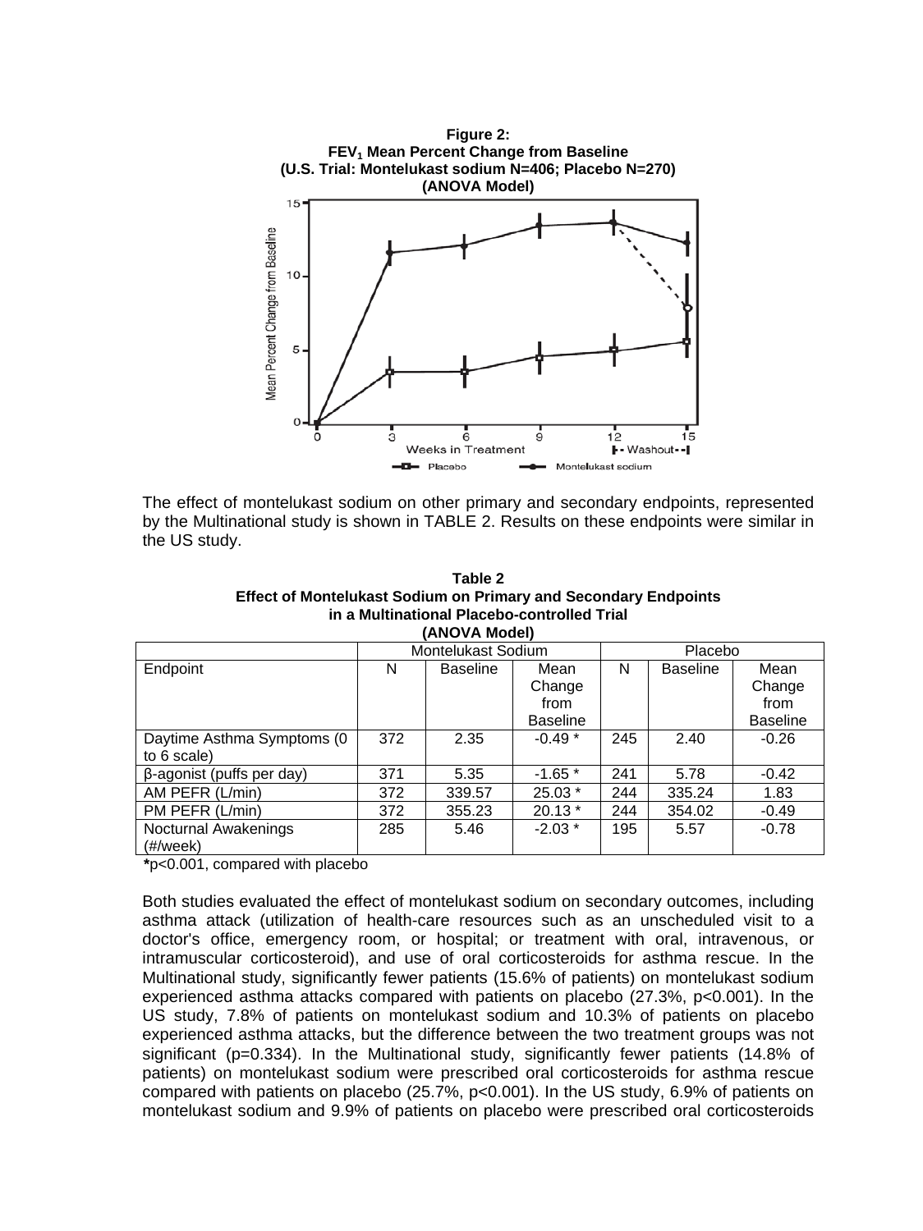

The effect of montelukast sodium on other primary and secondary endpoints, represented by the Multinational study is shown in TABLE 2. Results on these endpoints were similar in the US study.

**Table 2 Effect of Montelukast Sodium on Primary and Secondary Endpoints in a Multinational Placebo-controlled Trial (ANOVA Model)**

|                            | Montelukast Sodium |                 |                 | Placebo |                 |                 |
|----------------------------|--------------------|-----------------|-----------------|---------|-----------------|-----------------|
| Endpoint                   | N                  | <b>Baseline</b> | Mean            | N       | <b>Baseline</b> | Mean            |
|                            |                    |                 | Change          |         |                 | Change          |
|                            |                    |                 | from            |         |                 | from            |
|                            |                    |                 | <b>Baseline</b> |         |                 | <b>Baseline</b> |
| Daytime Asthma Symptoms (0 | 372                | 2.35            | $-0.49*$        | 245     | 2.40            | $-0.26$         |
| to 6 scale)                |                    |                 |                 |         |                 |                 |
| β-agonist (puffs per day)  | 371                | 5.35            | $-1.65*$        | 241     | 5.78            | $-0.42$         |
| AM PEFR (L/min)            | 372                | 339.57          | $25.03*$        | 244     | 335.24          | 1.83            |
| PM PEFR (L/min)            | 372                | 355.23          | $20.13*$        | 244     | 354.02          | $-0.49$         |
| Nocturnal Awakenings       | 285                | 5.46            | $-2.03*$        | 195     | 5.57            | $-0.78$         |
| $(\#/week)$                |                    |                 |                 |         |                 |                 |

**\***p<0.001, compared with placebo

Both studies evaluated the effect of montelukast sodium on secondary outcomes, including asthma attack (utilization of health-care resources such as an unscheduled visit to a doctor's office, emergency room, or hospital; or treatment with oral, intravenous, or intramuscular corticosteroid), and use of oral corticosteroids for asthma rescue. In the Multinational study, significantly fewer patients (15.6% of patients) on montelukast sodium experienced asthma attacks compared with patients on placebo (27.3%, p<0.001). In the US study, 7.8% of patients on montelukast sodium and 10.3% of patients on placebo experienced asthma attacks, but the difference between the two treatment groups was not significant (p=0.334). In the Multinational study, significantly fewer patients (14.8% of patients) on montelukast sodium were prescribed oral corticosteroids for asthma rescue compared with patients on placebo (25.7%, p<0.001). In the US study, 6.9% of patients on montelukast sodium and 9.9% of patients on placebo were prescribed oral corticosteroids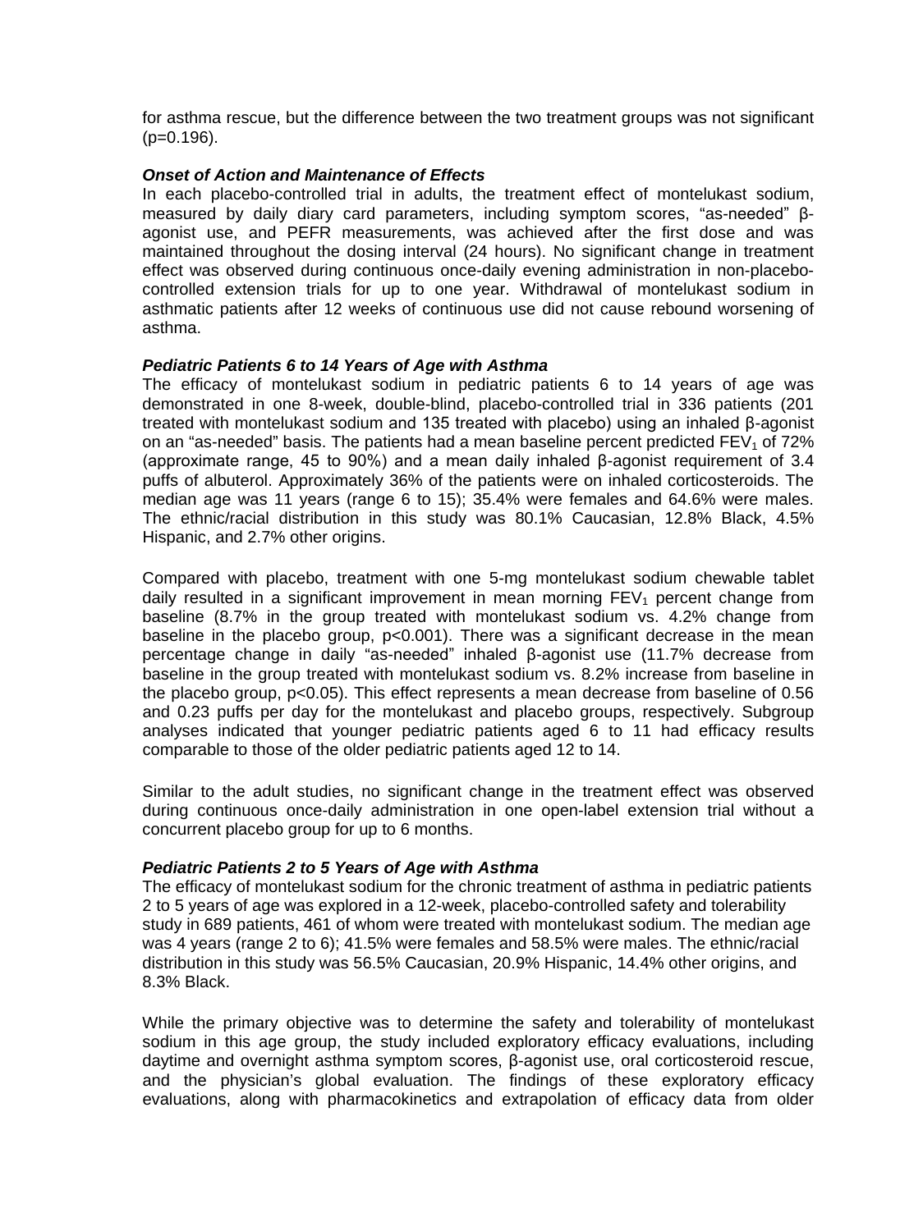for asthma rescue, but the difference between the two treatment groups was not significant  $(p=0.196)$ .

## *Onset of Action and Maintenance of Effects*

In each placebo-controlled trial in adults, the treatment effect of montelukast sodium, measured by daily diary card parameters, including symptom scores, "as-needed" βagonist use, and PEFR measurements, was achieved after the first dose and was maintained throughout the dosing interval (24 hours). No significant change in treatment effect was observed during continuous once-daily evening administration in non-placebocontrolled extension trials for up to one year. Withdrawal of montelukast sodium in asthmatic patients after 12 weeks of continuous use did not cause rebound worsening of asthma.

## *Pediatric Patients 6 to 14 Years of Age with Asthma*

The efficacy of montelukast sodium in pediatric patients 6 to 14 years of age was demonstrated in one 8-week, double-blind, placebo-controlled trial in 336 patients (201 treated with montelukast sodium and 135 treated with placebo) using an inhaled β-agonist on an "as-needed" basis. The patients had a mean baseline percent predicted  $FEV<sub>1</sub>$  of 72% (approximate range, 45 to 90%) and a mean daily inhaled β-agonist requirement of 3.4 puffs of albuterol. Approximately 36% of the patients were on inhaled corticosteroids. The median age was 11 years (range 6 to 15); 35.4% were females and 64.6% were males. The ethnic/racial distribution in this study was 80.1% Caucasian, 12.8% Black, 4.5% Hispanic, and 2.7% other origins.

Compared with placebo, treatment with one 5-mg montelukast sodium chewable tablet daily resulted in a significant improvement in mean morning  $FEV<sub>1</sub>$  percent change from baseline (8.7% in the group treated with montelukast sodium vs. 4.2% change from baseline in the placebo group, p<0.001). There was a significant decrease in the mean percentage change in daily "as-needed" inhaled β-agonist use (11.7% decrease from baseline in the group treated with montelukast sodium vs. 8.2% increase from baseline in the placebo group, p<0.05). This effect represents a mean decrease from baseline of 0.56 and 0.23 puffs per day for the montelukast and placebo groups, respectively. Subgroup analyses indicated that younger pediatric patients aged 6 to 11 had efficacy results comparable to those of the older pediatric patients aged 12 to 14.

Similar to the adult studies, no significant change in the treatment effect was observed during continuous once-daily administration in one open-label extension trial without a concurrent placebo group for up to 6 months.

## *Pediatric Patients 2 to 5 Years of Age with Asthma*

The efficacy of montelukast sodium for the chronic treatment of asthma in pediatric patients 2 to 5 years of age was explored in a 12-week, placebo-controlled safety and tolerability study in 689 patients, 461 of whom were treated with montelukast sodium. The median age was 4 years (range 2 to 6); 41.5% were females and 58.5% were males. The ethnic/racial distribution in this study was 56.5% Caucasian, 20.9% Hispanic, 14.4% other origins, and 8.3% Black.

While the primary objective was to determine the safety and tolerability of montelukast sodium in this age group, the study included exploratory efficacy evaluations, including daytime and overnight asthma symptom scores, β-agonist use, oral corticosteroid rescue, and the physician's global evaluation. The findings of these exploratory efficacy evaluations, along with pharmacokinetics and extrapolation of efficacy data from older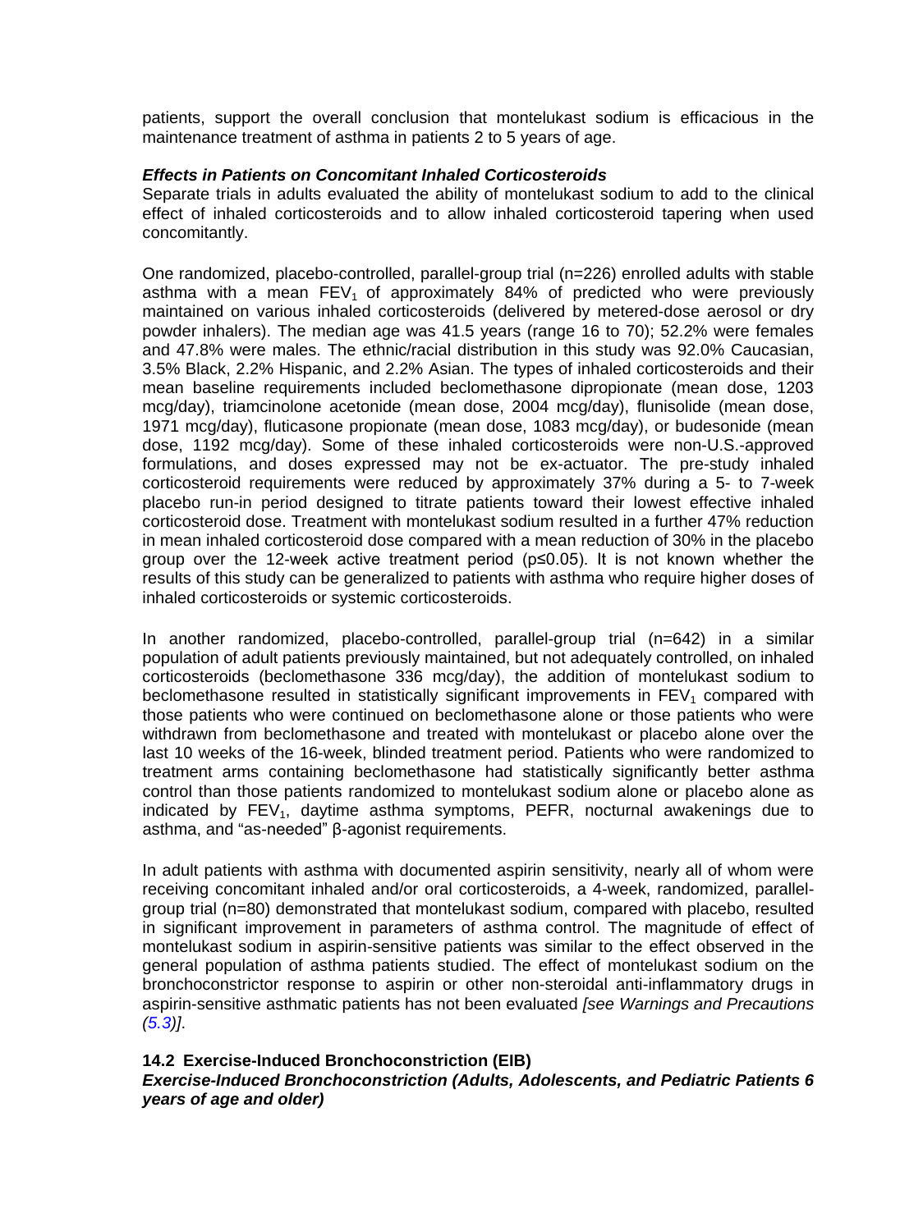patients, support the overall conclusion that montelukast sodium is efficacious in the maintenance treatment of asthma in patients 2 to 5 years of age.

## *Effects in Patients on Concomitant Inhaled Corticosteroids*

Separate trials in adults evaluated the ability of montelukast sodium to add to the clinical effect of inhaled corticosteroids and to allow inhaled corticosteroid tapering when used concomitantly.

One randomized, placebo-controlled, parallel-group trial (n=226) enrolled adults with stable asthma with a mean  $FEV<sub>1</sub>$  of approximately 84% of predicted who were previously maintained on various inhaled corticosteroids (delivered by metered-dose aerosol or dry powder inhalers). The median age was 41.5 years (range 16 to 70); 52.2% were females and 47.8% were males. The ethnic/racial distribution in this study was 92.0% Caucasian, 3.5% Black, 2.2% Hispanic, and 2.2% Asian. The types of inhaled corticosteroids and their mean baseline requirements included beclomethasone dipropionate (mean dose, 1203 mcg/day), triamcinolone acetonide (mean dose, 2004 mcg/day), flunisolide (mean dose, 1971 mcg/day), fluticasone propionate (mean dose, 1083 mcg/day), or budesonide (mean dose, 1192 mcg/day). Some of these inhaled corticosteroids were non-U.S.-approved formulations, and doses expressed may not be ex-actuator. The pre-study inhaled corticosteroid requirements were reduced by approximately 37% during a 5- to 7-week placebo run-in period designed to titrate patients toward their lowest effective inhaled corticosteroid dose. Treatment with montelukast sodium resulted in a further 47% reduction in mean inhaled corticosteroid dose compared with a mean reduction of 30% in the placebo group over the 12-week active treatment period (p≤0.05). It is not known whether the results of this study can be generalized to patients with asthma who require higher doses of inhaled corticosteroids or systemic corticosteroids.

In another randomized, placebo-controlled, parallel-group trial (n=642) in a similar population of adult patients previously maintained, but not adequately controlled, on inhaled corticosteroids (beclomethasone 336 mcg/day), the addition of montelukast sodium to beclomethasone resulted in statistically significant improvements in  $FEV<sub>1</sub>$  compared with those patients who were continued on beclomethasone alone or those patients who were withdrawn from beclomethasone and treated with montelukast or placebo alone over the last 10 weeks of the 16-week, blinded treatment period. Patients who were randomized to treatment arms containing beclomethasone had statistically significantly better asthma control than those patients randomized to montelukast sodium alone or placebo alone as indicated by  $FEV<sub>1</sub>$ , daytime asthma symptoms, PEFR, nocturnal awakenings due to asthma, and "as-needed" β-agonist requirements.

In adult patients with asthma with documented aspirin sensitivity, nearly all of whom were receiving concomitant inhaled and/or oral corticosteroids, a 4-week, randomized, parallelgroup trial (n=80) demonstrated that montelukast sodium, compared with placebo, resulted in significant improvement in parameters of asthma control. The magnitude of effect of montelukast sodium in aspirin-sensitive patients was similar to the effect observed in the general population of asthma patients studied. The effect of montelukast sodium on the bronchoconstrictor response to aspirin or other non-steroidal anti-inflammatory drugs in aspirin-sensitive asthmatic patients has not been evaluated *[see Warnings and Precautions [\(5.3\)](#page-3-1)]*.

#### <span id="page-18-0"></span>**14.2 Exercise-Induced Bronchoconstriction (EIB)**

## *Exercise-Induced Bronchoconstriction (Adults, Adolescents, and Pediatric Patients 6 years of age and older)*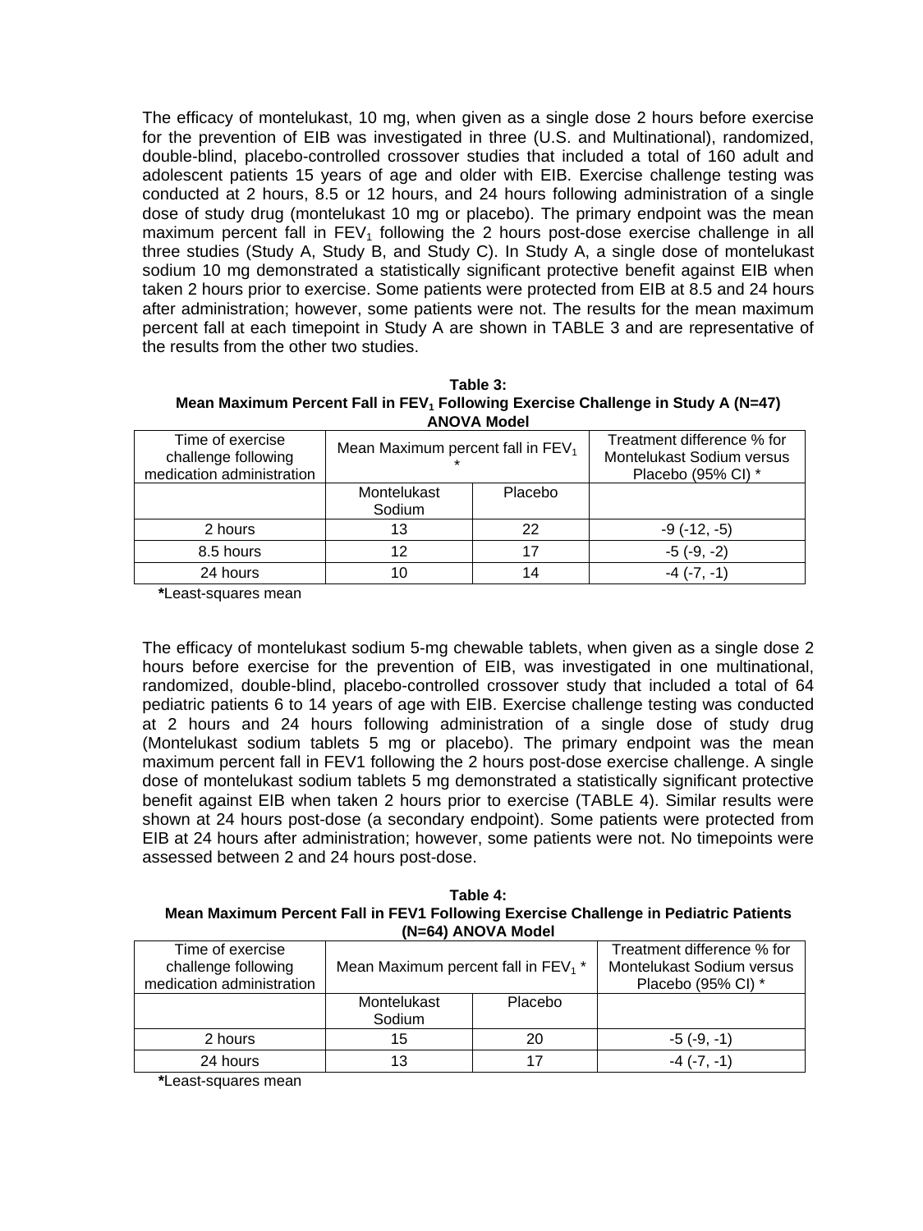The efficacy of montelukast, 10 mg, when given as a single dose 2 hours before exercise for the prevention of EIB was investigated in three (U.S. and Multinational), randomized, double-blind, placebo-controlled crossover studies that included a total of 160 adult and adolescent patients 15 years of age and older with EIB. Exercise challenge testing was conducted at 2 hours, 8.5 or 12 hours, and 24 hours following administration of a single dose of study drug (montelukast 10 mg or placebo). The primary endpoint was the mean maximum percent fall in  $FEV<sub>1</sub>$  following the 2 hours post-dose exercise challenge in all three studies (Study A, Study B, and Study C). In Study A, a single dose of montelukast sodium 10 mg demonstrated a statistically significant protective benefit against EIB when taken 2 hours prior to exercise. Some patients were protected from EIB at 8.5 and 24 hours after administration; however, some patients were not. The results for the mean maximum percent fall at each timepoint in Study A are shown in TABLE 3 and are representative of the results from the other two studies.

**Table 3: Mean Maximum Percent Fall in FEV<sub>1</sub> Following Exercise Challenge in Study A (N=47) ANOVA Model**

| Time of exercise<br>challenge following<br>medication administration | Mean Maximum percent fall in $FEV1$ |         | Treatment difference % for<br>Montelukast Sodium versus<br>Placebo (95% CI) * |  |  |
|----------------------------------------------------------------------|-------------------------------------|---------|-------------------------------------------------------------------------------|--|--|
|                                                                      | Montelukast<br>Sodium               | Placebo |                                                                               |  |  |
| 2 hours                                                              | 13                                  | 22      | $-9(-12,-5)$                                                                  |  |  |
| 8.5 hours                                                            | 12                                  | 17      | $-5(-9, -2)$                                                                  |  |  |
| 24 hours                                                             |                                     | 14      | $-4$ $(-7, -1)$                                                               |  |  |

**\***Least-squares mean

The efficacy of montelukast sodium 5-mg chewable tablets, when given as a single dose 2 hours before exercise for the prevention of EIB, was investigated in one multinational, randomized, double-blind, placebo-controlled crossover study that included a total of 64 pediatric patients 6 to 14 years of age with EIB. Exercise challenge testing was conducted at 2 hours and 24 hours following administration of a single dose of study drug (Montelukast sodium tablets 5 mg or placebo). The primary endpoint was the mean maximum percent fall in FEV1 following the 2 hours post-dose exercise challenge. A single dose of montelukast sodium tablets 5 mg demonstrated a statistically significant protective benefit against EIB when taken 2 hours prior to exercise (TABLE 4). Similar results were shown at 24 hours post-dose (a secondary endpoint). Some patients were protected from EIB at 24 hours after administration; however, some patients were not. No timepoints were assessed between 2 and 24 hours post-dose.

**Table 4: Mean Maximum Percent Fall in FEV1 Following Exercise Challenge in Pediatric Patients (N=64) ANOVA Model**

| Time of exercise<br>challenge following<br>medication administration | Mean Maximum percent fall in $FEV_1$ <sup>*</sup> |         | Treatment difference % for<br>Montelukast Sodium versus<br>Placebo (95% CI) * |
|----------------------------------------------------------------------|---------------------------------------------------|---------|-------------------------------------------------------------------------------|
|                                                                      | Montelukast<br>Sodium                             | Placebo |                                                                               |
| 2 hours                                                              | 15                                                | 20      | $-5(-9,-1)$                                                                   |
| 24 hours                                                             |                                                   |         | $-4$ ( $-7$ , $-1$ )                                                          |

**\***Least-squares mean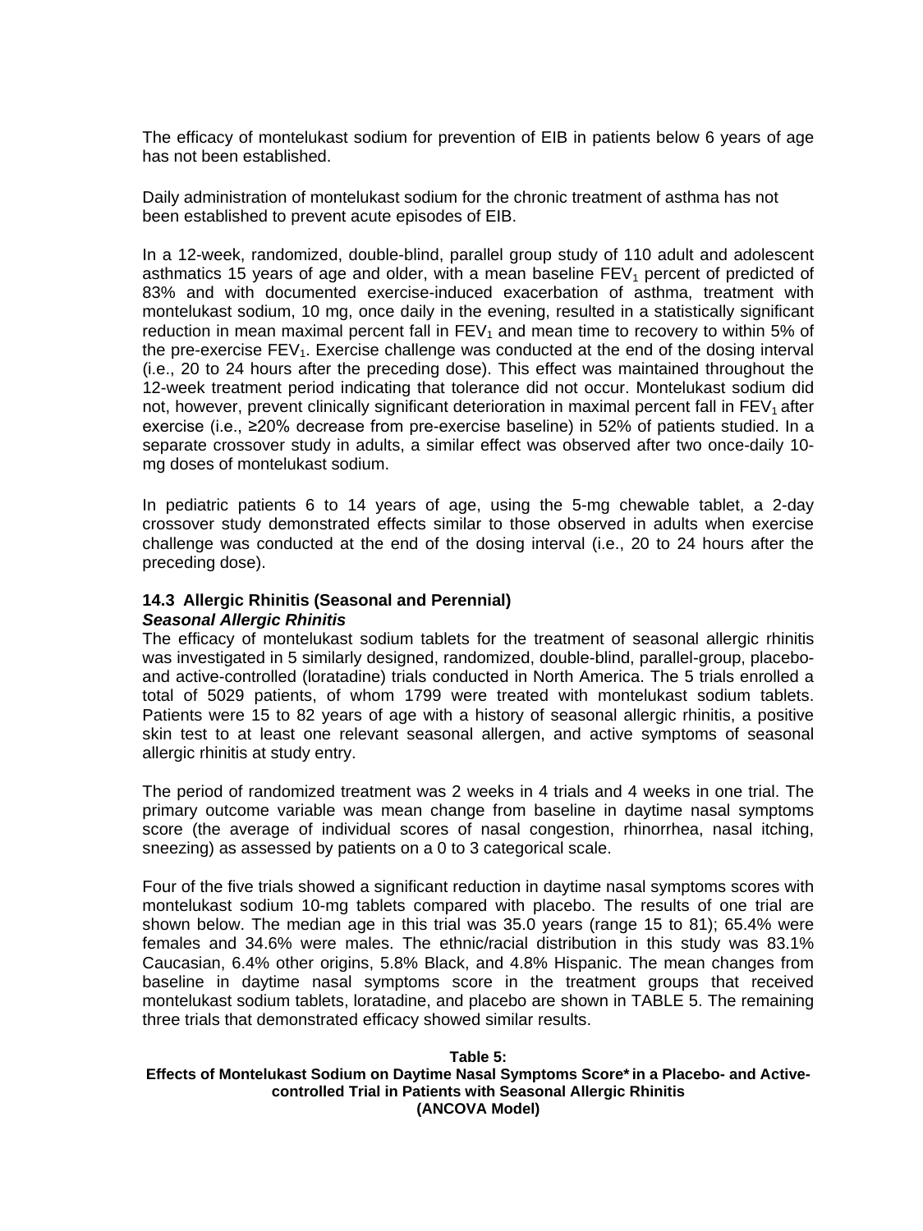The efficacy of montelukast sodium for prevention of EIB in patients below 6 years of age has not been established.

Daily administration of montelukast sodium for the chronic treatment of asthma has not been established to prevent acute episodes of EIB.

In a 12-week, randomized, double-blind, parallel group study of 110 adult and adolescent asthmatics 15 years of age and older, with a mean baseline  $FEV<sub>1</sub>$  percent of predicted of 83% and with documented exercise-induced exacerbation of asthma, treatment with montelukast sodium, 10 mg, once daily in the evening, resulted in a statistically significant reduction in mean maximal percent fall in  $FEV<sub>1</sub>$  and mean time to recovery to within 5% of the pre-exercise  $FEV<sub>1</sub>$ . Exercise challenge was conducted at the end of the dosing interval (i.e., 20 to 24 hours after the preceding dose). This effect was maintained throughout the 12-week treatment period indicating that tolerance did not occur. Montelukast sodium did not, however, prevent clinically significant deterioration in maximal percent fall in  $FEV<sub>1</sub>$  after exercise (i.e., ≥20% decrease from pre-exercise baseline) in 52% of patients studied. In a separate crossover study in adults, a similar effect was observed after two once-daily 10 mg doses of montelukast sodium.

In pediatric patients 6 to 14 years of age, using the 5-mg chewable tablet, a 2-day crossover study demonstrated effects similar to those observed in adults when exercise challenge was conducted at the end of the dosing interval (i.e., 20 to 24 hours after the preceding dose).

# <span id="page-20-0"></span>**14.3 Allergic Rhinitis (Seasonal and Perennial)**

#### *Seasonal Allergic Rhinitis*

The efficacy of montelukast sodium tablets for the treatment of seasonal allergic rhinitis was investigated in 5 similarly designed, randomized, double-blind, parallel-group, placeboand active-controlled (loratadine) trials conducted in North America. The 5 trials enrolled a total of 5029 patients, of whom 1799 were treated with montelukast sodium tablets. Patients were 15 to 82 years of age with a history of seasonal allergic rhinitis, a positive skin test to at least one relevant seasonal allergen, and active symptoms of seasonal allergic rhinitis at study entry.

The period of randomized treatment was 2 weeks in 4 trials and 4 weeks in one trial. The primary outcome variable was mean change from baseline in daytime nasal symptoms score (the average of individual scores of nasal congestion, rhinorrhea, nasal itching, sneezing) as assessed by patients on a 0 to 3 categorical scale.

Four of the five trials showed a significant reduction in daytime nasal symptoms scores with montelukast sodium 10-mg tablets compared with placebo. The results of one trial are shown below. The median age in this trial was 35.0 years (range 15 to 81); 65.4% were females and 34.6% were males. The ethnic/racial distribution in this study was 83.1% Caucasian, 6.4% other origins, 5.8% Black, and 4.8% Hispanic. The mean changes from baseline in daytime nasal symptoms score in the treatment groups that received montelukast sodium tablets, loratadine, and placebo are shown in TABLE 5. The remaining three trials that demonstrated efficacy showed similar results.

#### **Table 5: Effects of Montelukast Sodium on Daytime Nasal Symptoms Score\*in a Placebo- and Activecontrolled Trial in Patients with Seasonal Allergic Rhinitis (ANCOVA Model)**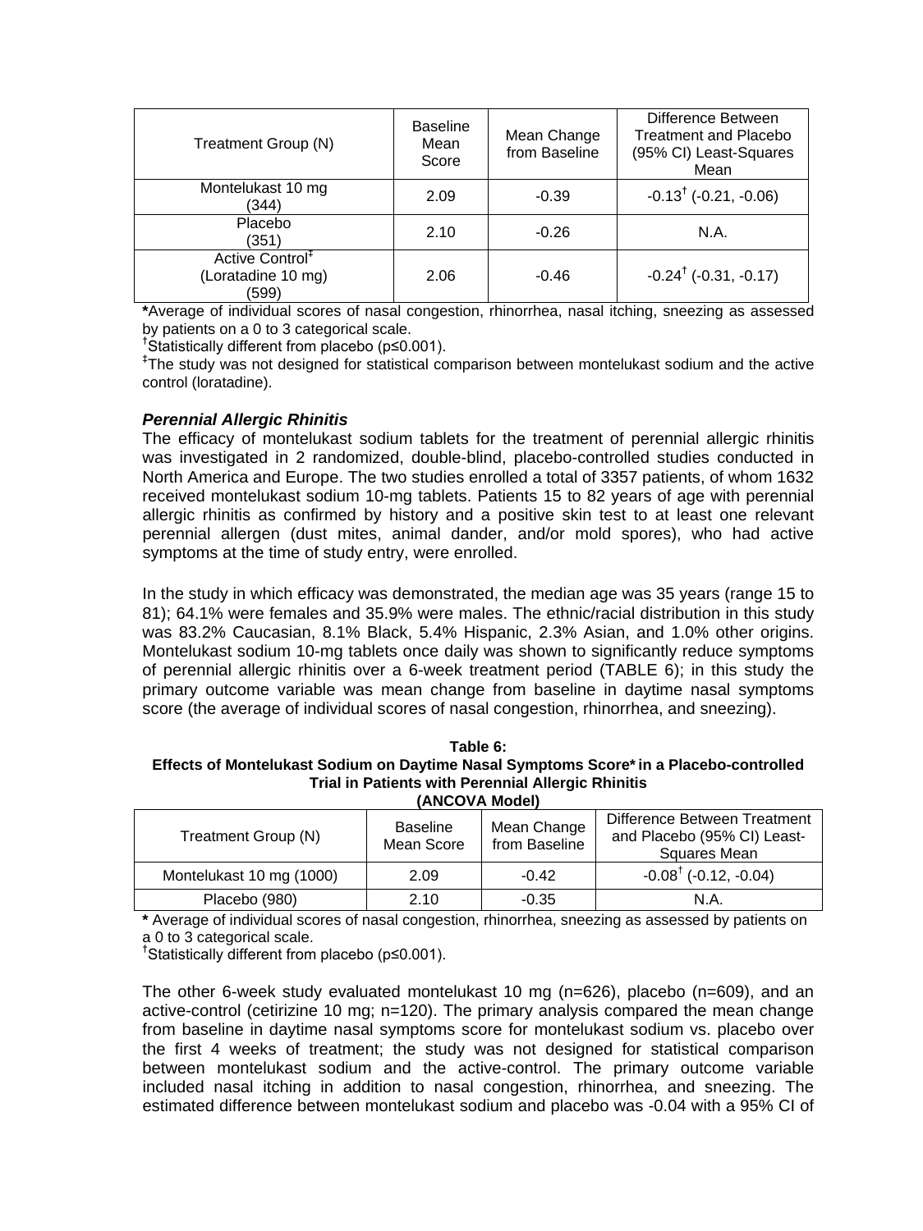| Treatment Group (N)                                        | <b>Baseline</b><br>Mean<br>Score | Mean Change<br>from Baseline | Difference Between<br><b>Treatment and Placebo</b><br>(95% CI) Least-Squares<br>Mean |
|------------------------------------------------------------|----------------------------------|------------------------------|--------------------------------------------------------------------------------------|
| Montelukast 10 mg<br>(344)                                 | 2.09                             | $-0.39$                      | $-0.13^{\dagger}$ ( $-0.21, -0.06$ )                                                 |
| Placebo<br>(351)                                           | 2.10                             | $-0.26$                      | N.A.                                                                                 |
| Active Control <sup>#</sup><br>(Loratadine 10 mg)<br>(599) | 2.06                             | $-0.46$                      | $-0.24^{\dagger}$ ( $-0.31, -0.17$ )                                                 |

**\***Average of individual scores of nasal congestion, rhinorrhea, nasal itching, sneezing as assessed by patients on a 0 to 3 categorical scale. **†**

Statistically different from placebo (p≤0.001).

**‡** The study was not designed for statistical comparison between montelukast sodium and the active control (loratadine).

## *Perennial Allergic Rhinitis*

The efficacy of montelukast sodium tablets for the treatment of perennial allergic rhinitis was investigated in 2 randomized, double-blind, placebo-controlled studies conducted in North America and Europe. The two studies enrolled a total of 3357 patients, of whom 1632 received montelukast sodium 10-mg tablets. Patients 15 to 82 years of age with perennial allergic rhinitis as confirmed by history and a positive skin test to at least one relevant perennial allergen (dust mites, animal dander, and/or mold spores), who had active symptoms at the time of study entry, were enrolled.

In the study in which efficacy was demonstrated, the median age was 35 years (range 15 to 81); 64.1% were females and 35.9% were males. The ethnic/racial distribution in this study was 83.2% Caucasian, 8.1% Black, 5.4% Hispanic, 2.3% Asian, and 1.0% other origins. Montelukast sodium 10-mg tablets once daily was shown to significantly reduce symptoms of perennial allergic rhinitis over a 6-week treatment period (TABLE 6); in this study the primary outcome variable was mean change from baseline in daytime nasal symptoms score (the average of individual scores of nasal congestion, rhinorrhea, and sneezing).

| Table 6:                                                                               |
|----------------------------------------------------------------------------------------|
| Effects of Montelukast Sodium on Daytime Nasal Symptoms Score* in a Placebo-controlled |
| Trial in Patients with Perennial Allergic Rhinitis                                     |
| <b><i>IANCOVA Modal</i></b>                                                            |

| $1$ al 1997 a modell     |                               |                              |                                                                                    |  |  |
|--------------------------|-------------------------------|------------------------------|------------------------------------------------------------------------------------|--|--|
| Treatment Group (N)      | <b>Baseline</b><br>Mean Score | Mean Change<br>from Baseline | Difference Between Treatment<br>and Placebo (95% CI) Least-<br><b>Squares Mean</b> |  |  |
| Montelukast 10 mg (1000) | 2.09                          | $-0.42$                      | $-0.08^{\dagger}$ (-0.12, -0.04)                                                   |  |  |
| Placebo (980)            | 2.10                          | $-0.35$                      | N.A.                                                                               |  |  |

**\*** Average of individual scores of nasal congestion, rhinorrhea, sneezing as assessed by patients on a 0 to 3 categorical scale. **†**

Statistically different from placebo (p≤0.001).

The other 6-week study evaluated montelukast 10 mg (n=626), placebo (n=609), and an active-control (cetirizine 10 mg; n=120). The primary analysis compared the mean change from baseline in daytime nasal symptoms score for montelukast sodium vs. placebo over the first 4 weeks of treatment; the study was not designed for statistical comparison between montelukast sodium and the active-control. The primary outcome variable included nasal itching in addition to nasal congestion, rhinorrhea, and sneezing. The estimated difference between montelukast sodium and placebo was -0.04 with a 95% CI of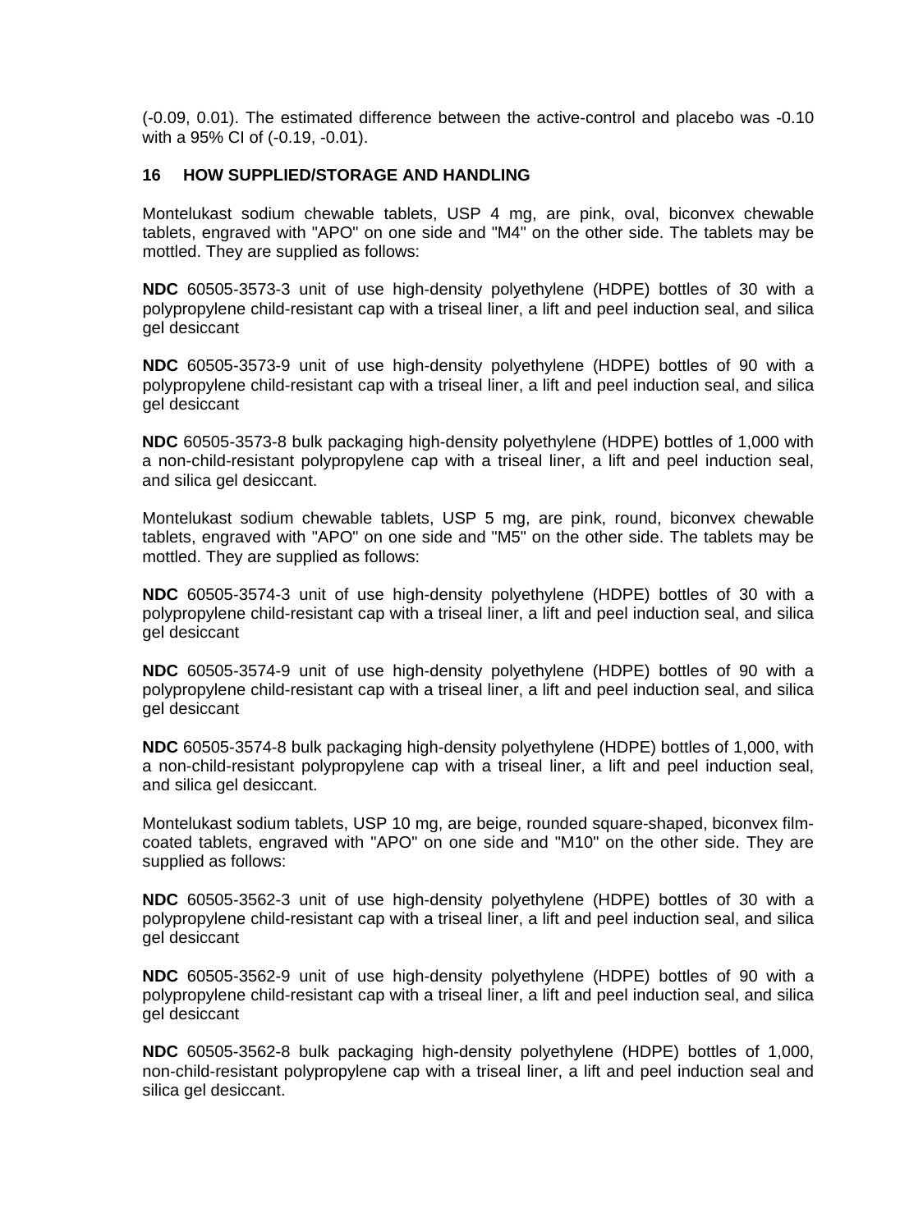(-0.09, 0.01). The estimated difference between the active-control and placebo was -0.10 with a 95% CI of (-0.19, -0.01).

## <span id="page-22-0"></span>**16 HOW SUPPLIED/STORAGE AND HANDLING**

Montelukast sodium chewable tablets, USP 4 mg, are pink, oval, biconvex chewable tablets, engraved with "APO" on one side and "M4" on the other side. The tablets may be mottled. They are supplied as follows:

**NDC** 60505-3573-3 unit of use high-density polyethylene (HDPE) bottles of 30 with a polypropylene child-resistant cap with a triseal liner, a lift and peel induction seal, and silica gel desiccant

**NDC** 60505-3573-9 unit of use high-density polyethylene (HDPE) bottles of 90 with a polypropylene child-resistant cap with a triseal liner, a lift and peel induction seal, and silica gel desiccant

**NDC** 60505-3573-8 bulk packaging high-density polyethylene (HDPE) bottles of 1,000 with a non-child-resistant polypropylene cap with a triseal liner, a lift and peel induction seal, and silica gel desiccant.

Montelukast sodium chewable tablets, USP 5 mg, are pink, round, biconvex chewable tablets, engraved with "APO" on one side and "M5" on the other side. The tablets may be mottled. They are supplied as follows:

**NDC** 60505-3574-3 unit of use high-density polyethylene (HDPE) bottles of 30 with a polypropylene child-resistant cap with a triseal liner, a lift and peel induction seal, and silica gel desiccant

**NDC** 60505-3574-9 unit of use high-density polyethylene (HDPE) bottles of 90 with a polypropylene child-resistant cap with a triseal liner, a lift and peel induction seal, and silica gel desiccant

**NDC** 60505-3574-8 bulk packaging high-density polyethylene (HDPE) bottles of 1,000, with a non-child-resistant polypropylene cap with a triseal liner, a lift and peel induction seal, and silica gel desiccant.

Montelukast sodium tablets, USP 10 mg, are beige, rounded square-shaped, biconvex filmcoated tablets, engraved with "APO" on one side and "M10" on the other side. They are supplied as follows:

**NDC** 60505-3562-3 unit of use high-density polyethylene (HDPE) bottles of 30 with a polypropylene child-resistant cap with a triseal liner, a lift and peel induction seal, and silica gel desiccant

**NDC** 60505-3562-9 unit of use high-density polyethylene (HDPE) bottles of 90 with a polypropylene child-resistant cap with a triseal liner, a lift and peel induction seal, and silica gel desiccant

**NDC** 60505-3562-8 bulk packaging high-density polyethylene (HDPE) bottles of 1,000, non-child-resistant polypropylene cap with a triseal liner, a lift and peel induction seal and silica gel desiccant.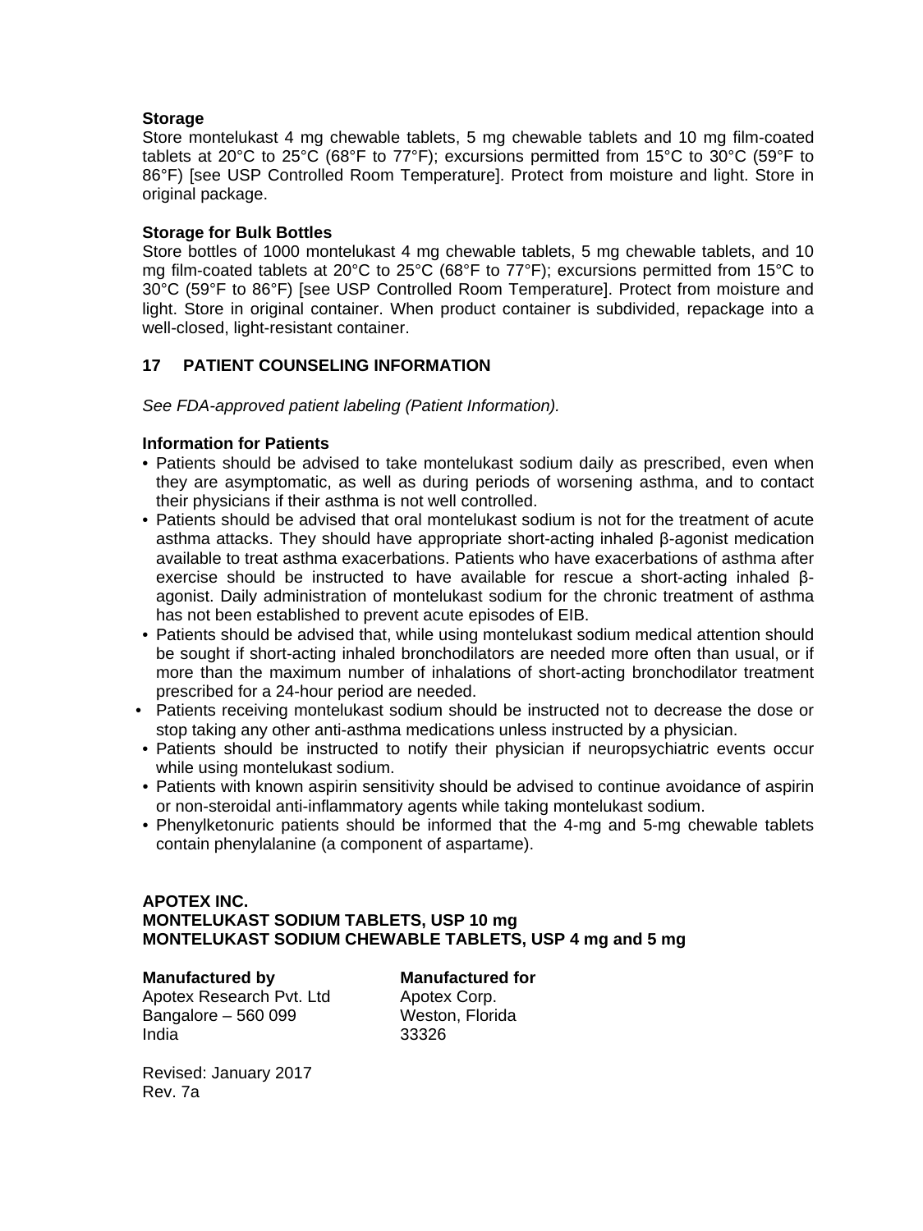## **Storage**

Store montelukast 4 mg chewable tablets, 5 mg chewable tablets and 10 mg film-coated tablets at 20°C to 25°C (68°F to 77°F); excursions permitted from 15°C to 30°C (59°F to 86°F) [see USP Controlled Room Temperature]. Protect from moisture and light. Store in original package.

## **Storage for Bulk Bottles**

Store bottles of 1000 montelukast 4 mg chewable tablets, 5 mg chewable tablets, and 10 mg film-coated tablets at 20°C to 25°C (68°F to 77°F); excursions permitted from 15°C to 30°C (59°F to 86°F) [see USP Controlled Room Temperature]. Protect from moisture and light. Store in original container. When product container is subdivided, repackage into a well-closed, light-resistant container.

# <span id="page-23-0"></span>**17 PATIENT COUNSELING INFORMATION**

*See FDA-approved patient labeling (Patient Information).*

## **Information for Patients**

- Patients should be advised to take montelukast sodium daily as prescribed, even when they are asymptomatic, as well as during periods of worsening asthma, and to contact their physicians if their asthma is not well controlled.
- Patients should be advised that oral montelukast sodium is not for the treatment of acute asthma attacks. They should have appropriate short-acting inhaled β-agonist medication available to treat asthma exacerbations. Patients who have exacerbations of asthma after exercise should be instructed to have available for rescue a short-acting inhaled βagonist. Daily administration of montelukast sodium for the chronic treatment of asthma has not been established to prevent acute episodes of EIB.
- Patients should be advised that, while using montelukast sodium medical attention should be sought if short-acting inhaled bronchodilators are needed more often than usual, or if more than the maximum number of inhalations of short-acting bronchodilator treatment prescribed for a 24-hour period are needed.
- Patients receiving montelukast sodium should be instructed not to decrease the dose or stop taking any other anti-asthma medications unless instructed by a physician.
- Patients should be instructed to notify their physician if neuropsychiatric events occur while using montelukast sodium.
- Patients with known aspirin sensitivity should be advised to continue avoidance of aspirin or non-steroidal anti-inflammatory agents while taking montelukast sodium.
- Phenylketonuric patients should be informed that the 4-mg and 5-mg chewable tablets contain phenylalanine (a component of aspartame).

# **APOTEX INC. MONTELUKAST SODIUM TABLETS, USP 10 mg MONTELUKAST SODIUM CHEWABLE TABLETS, USP 4 mg and 5 mg**

## **Manufactured by Manufactured for**

Apotex Research Pvt. Ltd Apotex Corp.<br>Bangalore – 560 099 Meston, Florida Bangalore –  $560099$ India 33326

Revised: January 2017 Rev. 7a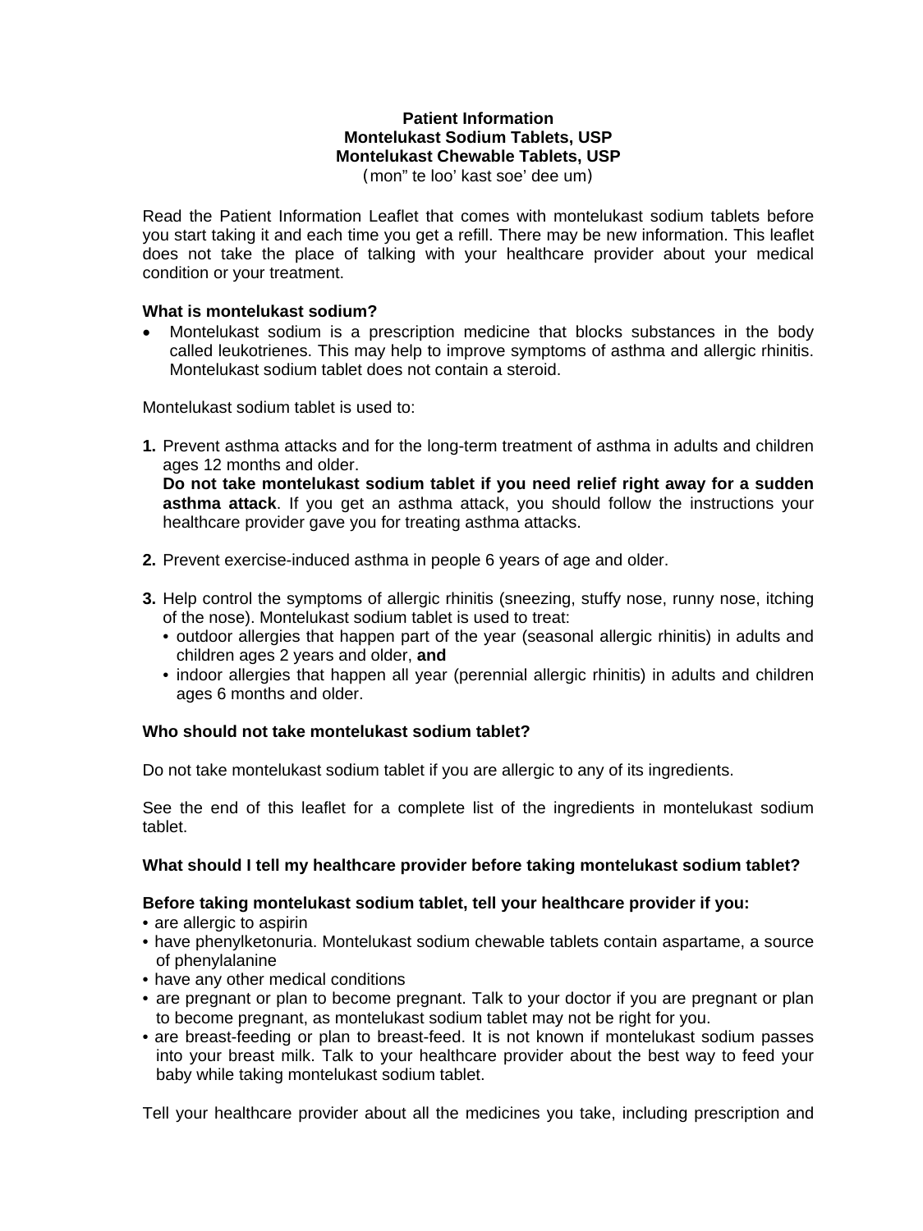# **Patient Information Montelukast Sodium Tablets, USP Montelukast Chewable Tablets, USP**

(mon" te loo' kast soe' dee um)

Read the Patient Information Leaflet that comes with montelukast sodium tablets before you start taking it and each time you get a refill. There may be new information. This leaflet does not take the place of talking with your healthcare provider about your medical condition or your treatment.

## **What is montelukast sodium?**

• Montelukast sodium is a prescription medicine that blocks substances in the body called leukotrienes. This may help to improve symptoms of asthma and allergic rhinitis. Montelukast sodium tablet does not contain a steroid.

Montelukast sodium tablet is used to:

**1.** Prevent asthma attacks and for the long-term treatment of asthma in adults and children ages 12 months and older.

**Do not take montelukast sodium tablet if you need relief right away for a sudden asthma attack**. If you get an asthma attack, you should follow the instructions your healthcare provider gave you for treating asthma attacks.

- **2.** Prevent exercise-induced asthma in people 6 years of age and older.
- **3.** Help control the symptoms of allergic rhinitis (sneezing, stuffy nose, runny nose, itching of the nose). Montelukast sodium tablet is used to treat:
	- outdoor allergies that happen part of the year (seasonal allergic rhinitis) in adults and children ages 2 years and older, **and**
	- indoor allergies that happen all year (perennial allergic rhinitis) in adults and children ages 6 months and older.

## **Who should not take montelukast sodium tablet?**

Do not take montelukast sodium tablet if you are allergic to any of its ingredients.

See the end of this leaflet for a complete list of the ingredients in montelukast sodium tablet.

## **What should I tell my healthcare provider before taking montelukast sodium tablet?**

## **Before taking montelukast sodium tablet, tell your healthcare provider if you:**

- are allergic to aspirin
- have phenylketonuria. Montelukast sodium chewable tablets contain aspartame, a source of phenylalanine
- have any other medical conditions
- are pregnant or plan to become pregnant. Talk to your doctor if you are pregnant or plan to become pregnant, as montelukast sodium tablet may not be right for you.
- are breast-feeding or plan to breast-feed. It is not known if montelukast sodium passes into your breast milk. Talk to your healthcare provider about the best way to feed your baby while taking montelukast sodium tablet.

Tell your healthcare provider about all the medicines you take, including prescription and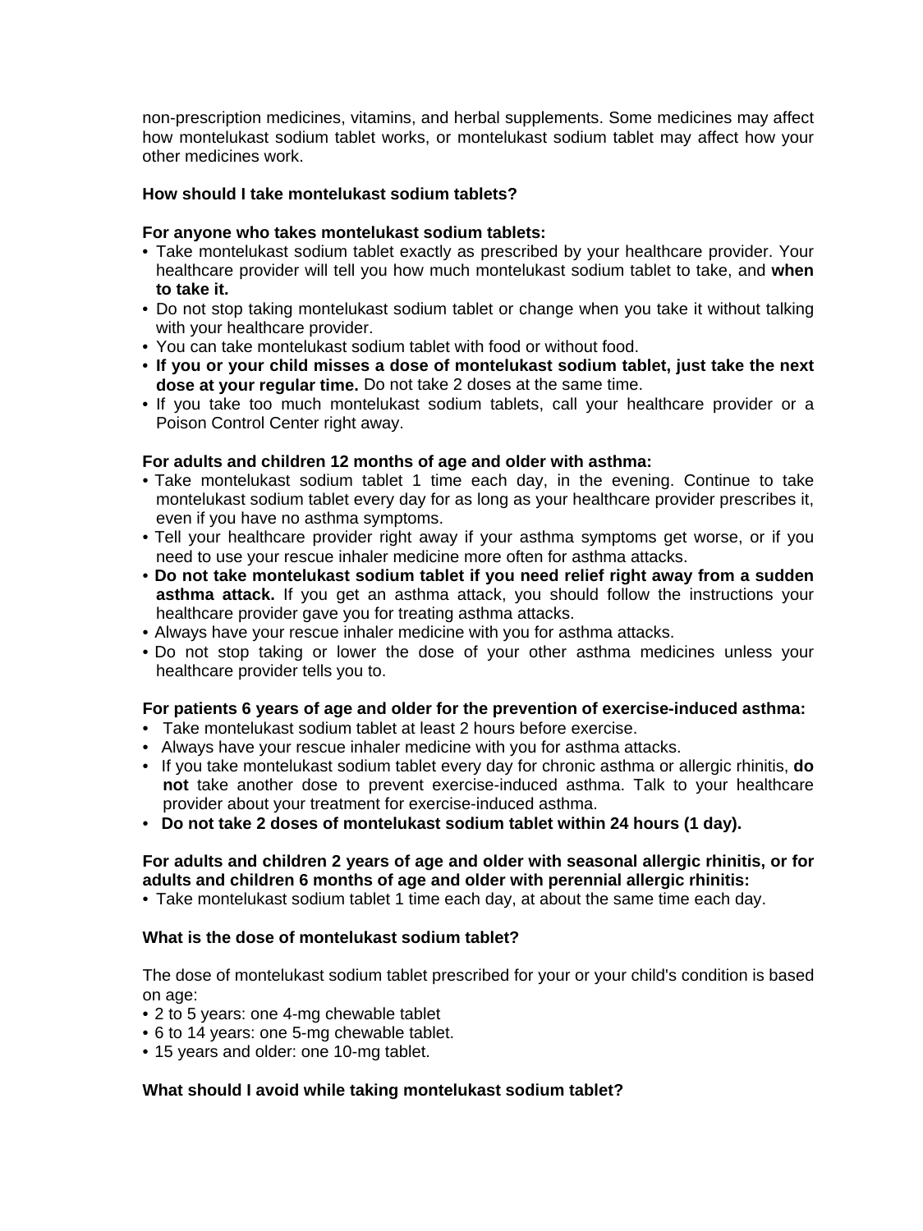non-prescription medicines, vitamins, and herbal supplements. Some medicines may affect how montelukast sodium tablet works, or montelukast sodium tablet may affect how your other medicines work.

## **How should I take montelukast sodium tablets?**

## **For anyone who takes montelukast sodium tablets:**

- Take montelukast sodium tablet exactly as prescribed by your healthcare provider. Your healthcare provider will tell you how much montelukast sodium tablet to take, and **when to take it.**
- Do not stop taking montelukast sodium tablet or change when you take it without talking with your healthcare provider.
- You can take montelukast sodium tablet with food or without food.
- **If you or your child misses a dose of montelukast sodium tablet, just take the next dose at your regular time.** Do not take 2 doses at the same time.
- If you take too much montelukast sodium tablets, call your healthcare provider or a Poison Control Center right away.

## **For adults and children 12 months of age and older with asthma:**

- Take montelukast sodium tablet 1 time each day, in the evening. Continue to take montelukast sodium tablet every day for as long as your healthcare provider prescribes it, even if you have no asthma symptoms.
- Tell your healthcare provider right away if your asthma symptoms get worse, or if you need to use your rescue inhaler medicine more often for asthma attacks.
- **Do not take montelukast sodium tablet if you need relief right away from a sudden asthma attack.** If you get an asthma attack, you should follow the instructions your healthcare provider gave you for treating asthma attacks.
- Always have your rescue inhaler medicine with you for asthma attacks.
- Do not stop taking or lower the dose of your other asthma medicines unless your healthcare provider tells you to.

#### **For patients 6 years of age and older for the prevention of exercise-induced asthma:**

- Take montelukast sodium tablet at least 2 hours before exercise.
- Always have your rescue inhaler medicine with you for asthma attacks.
- If you take montelukast sodium tablet every day for chronic asthma or allergic rhinitis, **do not** take another dose to prevent exercise-induced asthma. Talk to your healthcare provider about your treatment for exercise-induced asthma.
- **Do not take 2 doses of montelukast sodium tablet within 24 hours (1 day).**

## **For adults and children 2 years of age and older with seasonal allergic rhinitis, or for adults and children 6 months of age and older with perennial allergic rhinitis:**

• Take montelukast sodium tablet 1 time each day, at about the same time each day.

## **What is the dose of montelukast sodium tablet?**

The dose of montelukast sodium tablet prescribed for your or your child's condition is based on age:

- 2 to 5 years: one 4-mg chewable tablet
- 6 to 14 years: one 5-mg chewable tablet.
- 15 years and older: one 10-mg tablet.

## **What should I avoid while taking montelukast sodium tablet?**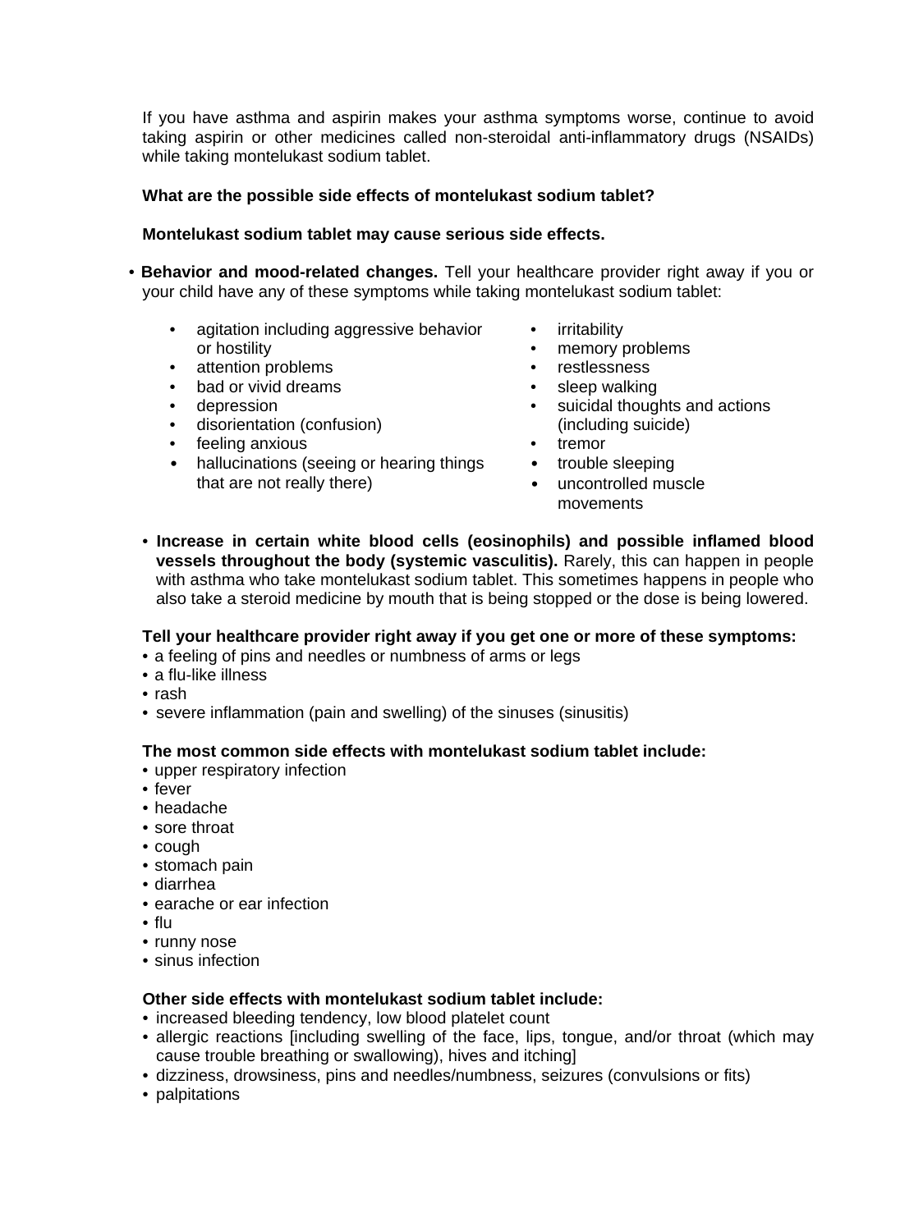If you have asthma and aspirin makes your asthma symptoms worse, continue to avoid taking aspirin or other medicines called non-steroidal anti-inflammatory drugs (NSAIDs) while taking montelukast sodium tablet.

## **What are the possible side effects of montelukast sodium tablet?**

## **Montelukast sodium tablet may cause serious side effects.**

- **Behavior and mood-related changes.** Tell your healthcare provider right away if you or your child have any of these symptoms while taking montelukast sodium tablet:
	- agitation including aggressive behavior or hostility
	- attention problems<br>• bad or vivid dreams
	- bad or vivid dreams
	- depression
	- disorientation (confusion)
	- feeling anxious
	- hallucinations (seeing or hearing things that are not really there)
- irritability
- memory problems
- **restlessness**
- sleep walking<br>• suicidal though
- suicidal thoughts and actions (including suicide)
- **tremor**
- trouble sleeping
- uncontrolled muscle movements
- **Increase in certain white blood cells (eosinophils) and possible inflamed blood vessels throughout the body (systemic vasculitis).** Rarely, this can happen in people with asthma who take montelukast sodium tablet. This sometimes happens in people who also take a steroid medicine by mouth that is being stopped or the dose is being lowered.

## **Tell your healthcare provider right away if you get one or more of these symptoms:**

- a feeling of pins and needles or numbness of arms or legs
- a flu-like illness
- rash
- severe inflammation (pain and swelling) of the sinuses (sinusitis)

## **The most common side effects with montelukast sodium tablet include:**

- upper respiratory infection
- fever
- headache
- sore throat
- cough
- stomach pain
- diarrhea
- earache or ear infection
- flu
- runny nose
- sinus infection

#### **Other side effects with montelukast sodium tablet include:**

- increased bleeding tendency, low blood platelet count
- allergic reactions [including swelling of the face, lips, tongue, and/or throat (which may cause trouble breathing or swallowing), hives and itching]
- dizziness, drowsiness, pins and needles/numbness, seizures (convulsions or fits)
- palpitations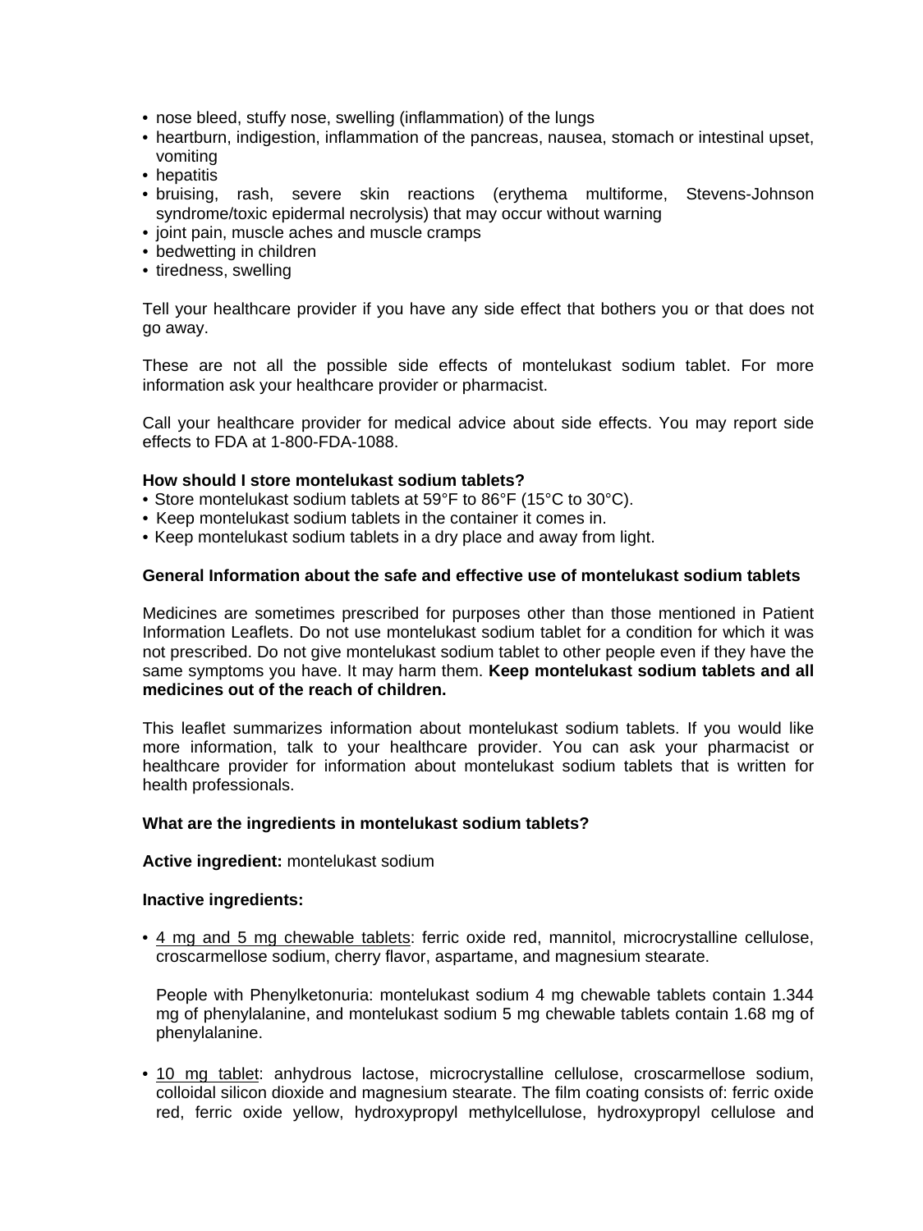- nose bleed, stuffy nose, swelling (inflammation) of the lungs
- heartburn, indigestion, inflammation of the pancreas, nausea, stomach or intestinal upset, vomiting
- hepatitis
- bruising, rash, severe skin reactions (erythema multiforme, Stevens-Johnson syndrome/toxic epidermal necrolysis) that may occur without warning
- joint pain, muscle aches and muscle cramps
- bedwetting in children
- tiredness, swelling

Tell your healthcare provider if you have any side effect that bothers you or that does not go away.

These are not all the possible side effects of montelukast sodium tablet. For more information ask your healthcare provider or pharmacist.

Call your healthcare provider for medical advice about side effects. You may report side effects to FDA at 1-800-FDA-1088.

#### **How should I store montelukast sodium tablets?**

- Store montelukast sodium tablets at 59°F to 86°F (15°C to 30°C).
- Keep montelukast sodium tablets in the container it comes in.
- Keep montelukast sodium tablets in a dry place and away from light.

## **General Information about the safe and effective use of montelukast sodium tablets**

Medicines are sometimes prescribed for purposes other than those mentioned in Patient Information Leaflets. Do not use montelukast sodium tablet for a condition for which it was not prescribed. Do not give montelukast sodium tablet to other people even if they have the same symptoms you have. It may harm them. **Keep montelukast sodium tablets and all medicines out of the reach of children.**

This leaflet summarizes information about montelukast sodium tablets. If you would like more information, talk to your healthcare provider. You can ask your pharmacist or healthcare provider for information about montelukast sodium tablets that is written for health professionals.

#### **What are the ingredients in montelukast sodium tablets?**

#### **Active ingredient:** montelukast sodium

#### **Inactive ingredients:**

• 4 mg and 5 mg chewable tablets: ferric oxide red, mannitol, microcrystalline cellulose, croscarmellose sodium, cherry flavor, aspartame, and magnesium stearate.

People with Phenylketonuria: montelukast sodium 4 mg chewable tablets contain 1.344 mg of phenylalanine, and montelukast sodium 5 mg chewable tablets contain 1.68 mg of phenylalanine.

• 10 mg tablet: anhydrous lactose, microcrystalline cellulose, croscarmellose sodium, colloidal silicon dioxide and magnesium stearate. The film coating consists of: ferric oxide red, ferric oxide yellow, hydroxypropyl methylcellulose, hydroxypropyl cellulose and